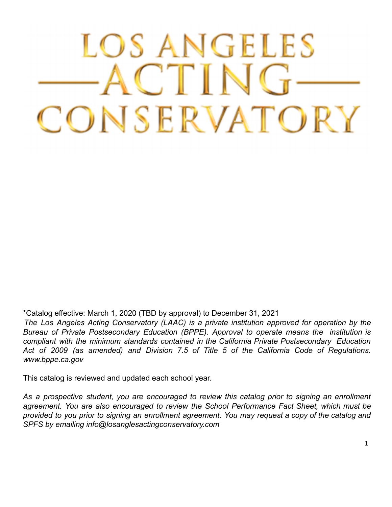# LOS ANGELES ACTING CONSERVATORY

\*Catalog effective: March 1, 2020 (TBD by approval) to December 31, 2021

*The Los Angeles Acting Conservatory (LAAC) is a private institution approved for operation by the Bureau of Private Postsecondary Education (BPPE). Approval to operate means the institution is compliant with the minimum standards contained in the California Private Postsecondary Education Act of 2009 (as amended) and Division 7.5 of Title 5 of the California Code of Regulations. www.bppe.ca.gov*

This catalog is reviewed and updated each school year.

*As a prospective student, you are encouraged to review this catalog prior to signing an enrollment agreement. You are also encouraged to review the School Performance Fact Sheet, which must be* provided to you prior to signing an enrollment agreement. You may request a copy of the catalog and *SPFS by emailing info@losanglesactingconservatory.com*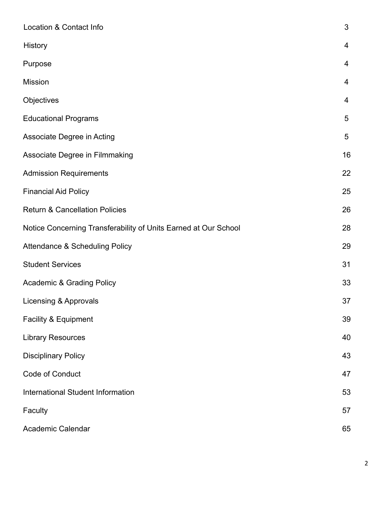| Location & Contact Info                                         | $\mathfrak{S}$ |
|-----------------------------------------------------------------|----------------|
| <b>History</b>                                                  | $\overline{4}$ |
| Purpose                                                         | $\overline{4}$ |
| <b>Mission</b>                                                  | 4              |
| Objectives                                                      | 4              |
| <b>Educational Programs</b>                                     | 5              |
| Associate Degree in Acting                                      | $\overline{5}$ |
| Associate Degree in Filmmaking                                  | 16             |
| <b>Admission Requirements</b>                                   | 22             |
| <b>Financial Aid Policy</b>                                     | 25             |
| <b>Return &amp; Cancellation Policies</b>                       | 26             |
| Notice Concerning Transferability of Units Earned at Our School | 28             |
| <b>Attendance &amp; Scheduling Policy</b>                       | 29             |
| <b>Student Services</b>                                         | 31             |
| <b>Academic &amp; Grading Policy</b>                            | 33             |
| Licensing & Approvals                                           | 37             |
| Facility & Equipment                                            | 39             |
| <b>Library Resources</b>                                        | 40             |
| <b>Disciplinary Policy</b>                                      | 43             |
| Code of Conduct                                                 | 47             |
| <b>International Student Information</b>                        | 53             |
| Faculty                                                         | 57             |
| <b>Academic Calendar</b>                                        | 65             |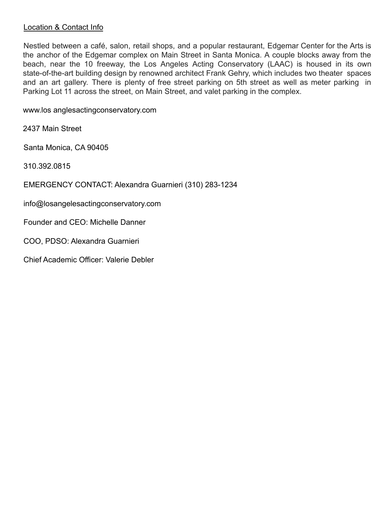#### Location & Contact Info

Nestled between a café, salon, retail shops, and a popular restaurant, Edgemar Center for the Arts is the anchor of the Edgemar complex on Main Street in Santa Monica. A couple blocks away from the beach, near the 10 freeway, the Los Angeles Acting Conservatory (LAAC) is housed in its own state-of-the-art building design by renowned architect Frank Gehry, which includes two theater spaces and an art gallery. There is plenty of free street parking on 5th street as well as meter parking in Parking Lot 11 across the street, on Main Street, and valet parking in the complex.

www.los anglesactingconservatory.com

2437 Main Street

Santa Monica, CA 90405

310.392.0815

EMERGENCY CONTACT: Alexandra Guarnieri (310) 283-1234

info@losangelesactingconservatory.com

Founder and CEO: Michelle Danner

COO, PDSO: Alexandra Guarnieri

Chief Academic Officer: Valerie Debler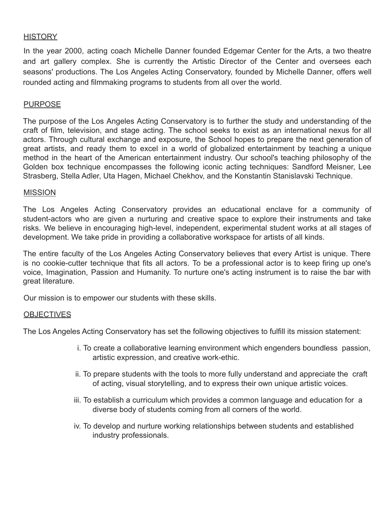#### HISTORY

In the year 2000, acting coach Michelle Danner founded Edgemar Center for the Arts, a two theatre and art gallery complex. She is currently the Artistic Director of the Center and oversees each seasons' productions. The Los Angeles Acting Conservatory, founded by Michelle Danner, offers well rounded acting and filmmaking programs to students from all over the world.

#### PURPOSE

The purpose of the Los Angeles Acting Conservatory is to further the study and understanding of the craft of film, television, and stage acting. The school seeks to exist as an international nexus for all actors. Through cultural exchange and exposure, the School hopes to prepare the next generation of great artists, and ready them to excel in a world of globalized entertainment by teaching a unique method in the heart of the American entertainment industry. Our school's teaching philosophy of the Golden box technique encompasses the following iconic acting techniques: Sandford Meisner, Lee Strasberg, Stella Adler, Uta Hagen, Michael Chekhov, and the Konstantin Stanislavski Technique.

#### **MISSION**

The Los Angeles Acting Conservatory provides an educational enclave for a community of student-actors who are given a nurturing and creative space to explore their instruments and take risks. We believe in encouraging high-level, independent, experimental student works at all stages of development. We take pride in providing a collaborative workspace for artists of all kinds.

The entire faculty of the Los Angeles Acting Conservatory believes that every Artist is unique. There is no cookie-cutter technique that fits all actors. To be a professional actor is to keep firing up one's voice, Imagination, Passion and Humanity. To nurture one's acting instrument is to raise the bar with great literature.

Our mission is to empower our students with these skills.

#### **OBJECTIVES**

The Los Angeles Acting Conservatory has set the following objectives to fulfill its mission statement:

- i. To create a collaborative learning environment which engenders boundless passion, artistic expression, and creative work-ethic.
- ii. To prepare students with the tools to more fully understand and appreciate the craft of acting, visual storytelling, and to express their own unique artistic voices.
- iii. To establish a curriculum which provides a common language and education for a diverse body of students coming from all corners of the world.
- iv. To develop and nurture working relationships between students and established industry professionals.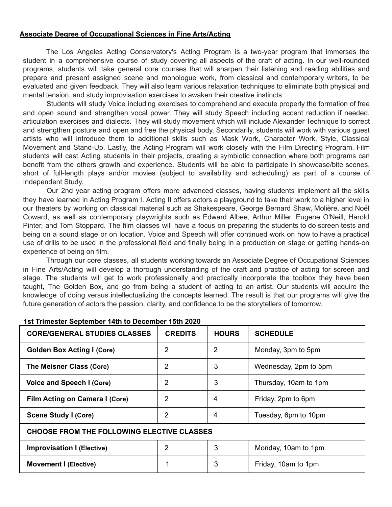#### **Associate Degree of Occupational Sciences in Fine Arts/Acting**

The Los Angeles Acting Conservatory's Acting Program is a two-year program that immerses the student in a comprehensive course of study covering all aspects of the craft of acting. In our well-rounded programs, students will take general core courses that will sharpen their listening and reading abilities and prepare and present assigned scene and monologue work, from classical and contemporary writers, to be evaluated and given feedback. They will also learn various relaxation techniques to eliminate both physical and mental tension, and study improvisation exercises to awaken their creative instincts.

Students will study Voice including exercises to comprehend and execute properly the formation of free and open sound and strengthen vocal power. They will study Speech including accent reduction if needed, articulation exercises and dialects. They will study movement which will include Alexander Technique to correct and strengthen posture and open and free the physical body. Secondarily, students will work with various guest artists who will introduce them to additional skills such as Mask Work, Character Work, Style, Classical Movement and Stand-Up. Lastly, the Acting Program will work closely with the Film Directing Program. Film students will cast Acting students in their projects, creating a symbiotic connection where both programs can benefit from the others growth and experience. Students will be able to participate in showcase/bite scenes, short of full-length plays and/or movies (subject to availability and scheduling) as part of a course of Independent Study.

Our 2nd year acting program offers more advanced classes, having students implement all the skills they have learned in Acting Program I. Acting II offers actors a playground to take their work to a higher level in our theaters by working on classical material such as Shakespeare, George Bernard Shaw, Molière, and Noël Coward, as well as contemporary playwrights such as Edward Albee, Arthur Miller, Eugene O'Neill, Harold Pinter, and Tom Stoppard. The film classes will have a focus on preparing the students to do screen tests and being on a sound stage or on location. Voice and Speech will offer continued work on how to have a practical use of drills to be used in the professional field and finally being in a production on stage or getting hands-on experience of being on film.

Through our core classes, all students working towards an Associate Degree of Occupational Sciences in Fine Arts/Acting will develop a thorough understanding of the craft and practice of acting for screen and stage. The students will get to work professionally and practically incorporate the toolbox they have been taught, The Golden Box, and go from being a student of acting to an artist. Our students will acquire the knowledge of doing versus intellectualizing the concepts learned. The result is that our programs will give the future generation of actors the passion, clarity, and confidence to be the storytellers of tomorrow.

| <b>CORE/GENERAL STUDIES CLASSES</b>               | <b>CREDITS</b> | <b>HOURS</b> | <b>SCHEDULE</b>       |  |
|---------------------------------------------------|----------------|--------------|-----------------------|--|
| <b>Golden Box Acting I (Core)</b>                 | 2              | 2            | Monday, 3pm to 5pm    |  |
| The Meisner Class (Core)                          | 2              | 3            | Wednesday, 2pm to 5pm |  |
| Voice and Speech I (Core)                         | 2              | 3            | Thursday, 10am to 1pm |  |
| Film Acting on Camera I (Core)                    | 2              | 4            | Friday, 2pm to 6pm    |  |
| <b>Scene Study I (Core)</b>                       | 2              | 4            | Tuesday, 6pm to 10pm  |  |
| <b>CHOOSE FROM THE FOLLOWING ELECTIVE CLASSES</b> |                |              |                       |  |
| <b>Improvisation I (Elective)</b>                 | 2              | 3            | Monday, 10am to 1pm   |  |
| <b>Movement I (Elective)</b>                      |                | 3            | Friday, 10am to 1pm   |  |

#### **1st Trimester September 14th to December 15th 2020**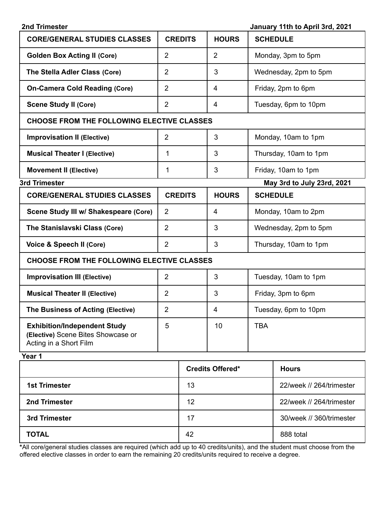| January 11th to April 3rd, 2021<br>2nd Trimester                                                    |                |                         |                            |  |
|-----------------------------------------------------------------------------------------------------|----------------|-------------------------|----------------------------|--|
| <b>CORE/GENERAL STUDIES CLASSES</b>                                                                 | <b>CREDITS</b> | <b>HOURS</b>            | <b>SCHEDULE</b>            |  |
| <b>Golden Box Acting II (Core)</b>                                                                  | $\overline{2}$ | $\overline{2}$          | Monday, 3pm to 5pm         |  |
| The Stella Adler Class (Core)                                                                       | $\overline{2}$ | 3                       | Wednesday, 2pm to 5pm      |  |
| <b>On-Camera Cold Reading (Core)</b>                                                                | $\overline{2}$ | 4                       | Friday, 2pm to 6pm         |  |
| <b>Scene Study II (Core)</b>                                                                        | $\overline{2}$ | 4                       | Tuesday, 6pm to 10pm       |  |
| <b>CHOOSE FROM THE FOLLOWING ELECTIVE CLASSES</b>                                                   |                |                         |                            |  |
| <b>Improvisation II (Elective)</b>                                                                  | $\overline{2}$ | 3                       | Monday, 10am to 1pm        |  |
| <b>Musical Theater I (Elective)</b>                                                                 | 1              | 3                       | Thursday, 10am to 1pm      |  |
| <b>Movement II (Elective)</b>                                                                       | 1              | 3                       | Friday, 10am to 1pm        |  |
| 3rd Trimester                                                                                       |                |                         | May 3rd to July 23rd, 2021 |  |
| <b>CORE/GENERAL STUDIES CLASSES</b>                                                                 | <b>CREDITS</b> | <b>HOURS</b>            | <b>SCHEDULE</b>            |  |
| Scene Study III w/ Shakespeare (Core)                                                               | $\overline{2}$ | $\overline{4}$          | Monday, 10am to 2pm        |  |
| The Stanislavski Class (Core)                                                                       | $\overline{2}$ | 3                       | Wednesday, 2pm to 5pm      |  |
| Voice & Speech II (Core)                                                                            | $\overline{2}$ | 3                       | Thursday, 10am to 1pm      |  |
| <b>CHOOSE FROM THE FOLLOWING ELECTIVE CLASSES</b>                                                   |                |                         |                            |  |
| <b>Improvisation III (Elective)</b>                                                                 | $\overline{2}$ | 3                       | Tuesday, 10am to 1pm       |  |
| <b>Musical Theater II (Elective)</b>                                                                | $\overline{2}$ | 3                       | Friday, 3pm to 6pm         |  |
| The Business of Acting (Elective)                                                                   | $\overline{2}$ | $\overline{\mathbf{4}}$ | Tuesday, 6pm to 10pm       |  |
| <b>Exhibition/Independent Study</b><br>(Elective) Scene Bites Showcase or<br>Acting in a Short Film | 5              | 10                      | <b>TBA</b>                 |  |
| Year 1                                                                                              |                |                         |                            |  |

|                      | <b>Credits Offered*</b> | <b>Hours</b>             |
|----------------------|-------------------------|--------------------------|
| <b>1st Trimester</b> | 13                      | 22/week // 264/trimester |
| 2nd Trimester        | 12                      | 22/week // 264/trimester |
| 3rd Trimester        | 17                      | 30/week // 360/trimester |
| <b>TOTAL</b>         | 42                      | 888 total                |

**\***All core/general studies classes are required (which add up to 40 credits/units), and the student must choose from the offered elective classes in order to earn the remaining 20 credits/units required to receive a degree.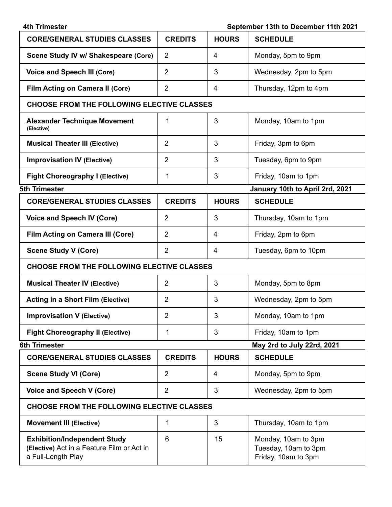| <b>4th Trimester</b><br>September 13th to December 11th 2021                                            |                |                |                                                                    |  |
|---------------------------------------------------------------------------------------------------------|----------------|----------------|--------------------------------------------------------------------|--|
| <b>CORE/GENERAL STUDIES CLASSES</b>                                                                     | <b>CREDITS</b> | <b>HOURS</b>   | <b>SCHEDULE</b>                                                    |  |
| Scene Study IV w/ Shakespeare (Core)                                                                    | $\overline{2}$ | 4              | Monday, 5pm to 9pm                                                 |  |
| <b>Voice and Speech III (Core)</b>                                                                      | $\overline{2}$ | 3              | Wednesday, 2pm to 5pm                                              |  |
| Film Acting on Camera II (Core)                                                                         | $\overline{2}$ | 4              | Thursday, 12pm to 4pm                                              |  |
| <b>CHOOSE FROM THE FOLLOWING ELECTIVE CLASSES</b>                                                       |                |                |                                                                    |  |
| <b>Alexander Technique Movement</b><br>(Elective)                                                       | 1              | 3              | Monday, 10am to 1pm                                                |  |
| <b>Musical Theater III (Elective)</b>                                                                   | $\overline{2}$ | 3              | Friday, 3pm to 6pm                                                 |  |
| <b>Improvisation IV (Elective)</b>                                                                      | $\overline{2}$ | 3              | Tuesday, 6pm to 9pm                                                |  |
| <b>Fight Choreography I (Elective)</b>                                                                  | 1              | 3              | Friday, 10am to 1pm                                                |  |
| <b>5th Trimester</b>                                                                                    |                |                | January 10th to April 2rd, 2021                                    |  |
| <b>CORE/GENERAL STUDIES CLASSES</b>                                                                     | <b>CREDITS</b> | <b>HOURS</b>   | <b>SCHEDULE</b>                                                    |  |
| <b>Voice and Speech IV (Core)</b>                                                                       | $\overline{2}$ | 3              | Thursday, 10am to 1pm                                              |  |
| Film Acting on Camera III (Core)                                                                        | $\overline{2}$ | 4              | Friday, 2pm to 6pm                                                 |  |
| <b>Scene Study V (Core)</b>                                                                             | $\overline{2}$ | $\overline{4}$ | Tuesday, 6pm to 10pm                                               |  |
| <b>CHOOSE FROM THE FOLLOWING ELECTIVE CLASSES</b>                                                       |                |                |                                                                    |  |
| <b>Musical Theater IV (Elective)</b>                                                                    | $\overline{2}$ | 3              | Monday, 5pm to 8pm                                                 |  |
| <b>Acting in a Short Film (Elective)</b>                                                                | $\overline{2}$ | 3              | Wednesday, 2pm to 5pm                                              |  |
| <b>Improvisation V (Elective)</b>                                                                       | $\overline{2}$ | 3              | Monday, 10am to 1pm                                                |  |
| <b>Fight Choreography II (Elective)</b>                                                                 | 1              | 3              | Friday, 10am to 1pm                                                |  |
| <b>6th Trimester</b>                                                                                    |                |                | May 2rd to July 22rd, 2021                                         |  |
| <b>CORE/GENERAL STUDIES CLASSES</b>                                                                     | <b>CREDITS</b> | <b>HOURS</b>   | <b>SCHEDULE</b>                                                    |  |
| <b>Scene Study VI (Core)</b>                                                                            | $\overline{2}$ | 4              | Monday, 5pm to 9pm                                                 |  |
| Voice and Speech V (Core)                                                                               | $\overline{2}$ | 3              | Wednesday, 2pm to 5pm                                              |  |
| <b>CHOOSE FROM THE FOLLOWING ELECTIVE CLASSES</b>                                                       |                |                |                                                                    |  |
| <b>Movement III (Elective)</b>                                                                          | 1              | 3              | Thursday, 10am to 1pm                                              |  |
| <b>Exhibition/Independent Study</b><br>(Elective) Act in a Feature Film or Act in<br>a Full-Length Play | 6              | 15             | Monday, 10am to 3pm<br>Tuesday, 10am to 3pm<br>Friday, 10am to 3pm |  |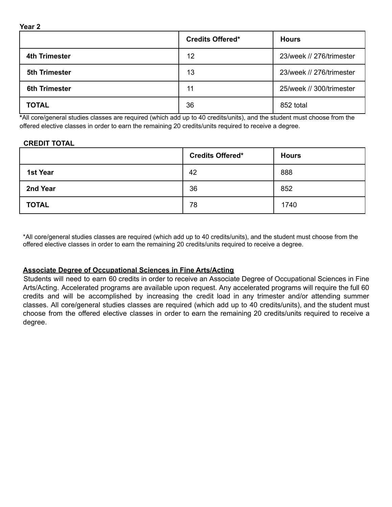|                      | <b>Credits Offered*</b> | <b>Hours</b>             |
|----------------------|-------------------------|--------------------------|
| 4th Trimester        | 12                      | 23/week // 276/trimester |
| <b>5th Trimester</b> | 13                      | 23/week // 276/trimester |
| <b>6th Trimester</b> | 11                      | 25/week // 300/trimester |
| <b>TOTAL</b>         | 36                      | 852 total                |

**\***All core/general studies classes are required (which add up to 40 credits/units), and the student must choose from the offered elective classes in order to earn the remaining 20 credits/units required to receive a degree.

#### **CREDIT TOTAL**

**Year 2**

|              | <b>Credits Offered*</b> | <b>Hours</b> |
|--------------|-------------------------|--------------|
| 1st Year     | 42                      | 888          |
| 2nd Year     | 36                      | 852          |
| <b>TOTAL</b> | 78                      | 1740         |

\*All core/general studies classes are required (which add up to 40 credits/units), and the student must choose from the offered elective classes in order to earn the remaining 20 credits/units required to receive a degree.

#### **Associate Degree of Occupational Sciences in Fine Arts/Acting**

Students will need to earn 60 credits in order to receive an Associate Degree of Occupational Sciences in Fine Arts/Acting. Accelerated programs are available upon request. Any accelerated programs will require the full 60 credits and will be accomplished by increasing the credit load in any trimester and/or attending summer classes. All core/general studies classes are required (which add up to 40 credits/units), and the student must choose from the offered elective classes in order to earn the remaining 20 credits/units required to receive a degree.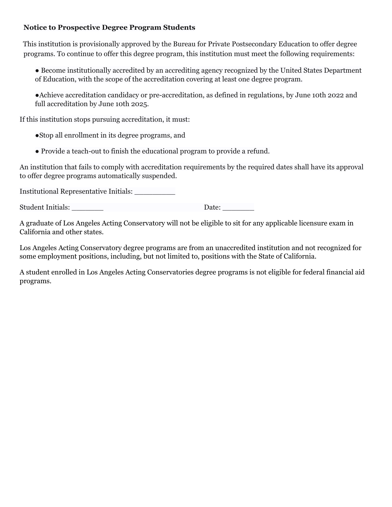#### **Notice to Prospective Degree Program Students**

This institution is provisionally approved by the Bureau for Private Postsecondary Education to offer degree programs. To continue to offer this degree program, this institution must meet the following requirements:

● Become institutionally accredited by an accrediting agency recognized by the United States Department of Education, with the scope of the accreditation covering at least one degree program.

●Achieve accreditation candidacy or pre-accreditation, as defined in regulations, by June 10th 2022 and full accreditation by June 10th 2025.

If this institution stops pursuing accreditation, it must:

●Stop all enrollment in its degree programs, and

● Provide a teach-out to finish the educational program to provide a refund.

An institution that fails to comply with accreditation requirements by the required dates shall have its approval to offer degree programs automatically suspended.

Institutional Representative Initials: \_\_\_\_\_\_\_\_\_

Student Initials: \_\_\_\_\_\_\_ Date: \_\_\_\_\_\_\_

A graduate of Los Angeles Acting Conservatory will not be eligible to sit for any applicable licensure exam in California and other states.

Los Angeles Acting Conservatory degree programs are from an unaccredited institution and not recognized for some employment positions, including, but not limited to, positions with the State of California.

A student enrolled in Los Angeles Acting Conservatories degree programs is not eligible for federal financial aid programs.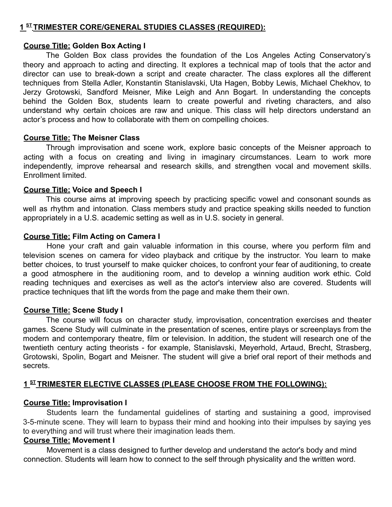#### **1 ST TRIMESTER CORE/GENERAL STUDIES CLASSES (REQUIRED):**

#### **Course Title: Golden Box Acting I**

The Golden Box class provides the foundation of the Los Angeles Acting Conservatory's theory and approach to acting and directing. It explores a technical map of tools that the actor and director can use to break-down a script and create character. The class explores all the different techniques from Stella Adler, Konstantin Stanislavski, Uta Hagen, Bobby Lewis, Michael Chekhov, to Jerzy Grotowski, Sandford Meisner, Mike Leigh and Ann Bogart. In understanding the concepts behind the Golden Box, students learn to create powerful and riveting characters, and also understand why certain choices are raw and unique. This class will help directors understand an actor's process and how to collaborate with them on compelling choices.

#### **Course Title: The Meisner Class**

Through improvisation and scene work, explore basic concepts of the Meisner approach to acting with a focus on creating and living in imaginary circumstances. Learn to work more independently, improve rehearsal and research skills, and strengthen vocal and movement skills. Enrollment limited.

#### **Course Title: Voice and Speech I**

This course aims at improving speech by practicing specific vowel and consonant sounds as well as rhythm and intonation. Class members study and practice speaking skills needed to function appropriately in a U.S. academic setting as well as in U.S. society in general.

#### **Course Title: Film Acting on Camera I**

Hone your craft and gain valuable information in this course, where you perform film and television scenes on camera for video playback and critique by the instructor. You learn to make better choices, to trust yourself to make quicker choices, to confront your fear of auditioning, to create a good atmosphere in the auditioning room, and to develop a winning audition work ethic. Cold reading techniques and exercises as well as the actor's interview also are covered. Students will practice techniques that lift the words from the page and make them their own.

#### **Course Title: Scene Study I**

The course will focus on character study, improvisation, concentration exercises and theater games. Scene Study will culminate in the presentation of scenes, entire plays or screenplays from the modern and contemporary theatre, film or television. In addition, the student will research one of the twentieth century acting theorists - for example, Stanislavski, Meyerhold, Artaud, Brecht, Strasberg, Grotowski, Spolin, Bogart and Meisner. The student will give a brief oral report of their methods and secrets.

#### **1 ST TRIMESTER ELECTIVE CLASSES (PLEASE CHOOSE FROM THE FOLLOWING):**

#### **Course Title: Improvisation I**

Students learn the fundamental guidelines of starting and sustaining a good, improvised 3-5-minute scene. They will learn to bypass their mind and hooking into their impulses by saying yes to everything and will trust where their imagination leads them.

#### **Course Title: Movement I**

Movement is a class designed to further develop and understand the actor's body and mind connection. Students will learn how to connect to the self through physicality and the written word.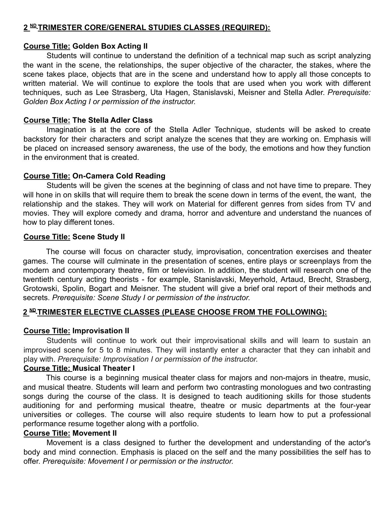#### **2 ND TRIMESTER CORE/GENERAL STUDIES CLASSES (REQUIRED):**

#### **Course Title: Golden Box Acting II**

Students will continue to understand the definition of a technical map such as script analyzing the want in the scene, the relationships, the super objective of the character, the stakes, where the scene takes place, objects that are in the scene and understand how to apply all those concepts to written material. We will continue to explore the tools that are used when you work with different techniques, such as Lee Strasberg, Uta Hagen, Stanislavski, Meisner and Stella Adler. *Prerequisite: Golden Box Acting I or permission of the instructor.*

#### **Course Title: The Stella Adler Class**

Imagination is at the core of the Stella Adler Technique, students will be asked to create backstory for their characters and script analyze the scenes that they are working on. Emphasis will be placed on increased sensory awareness, the use of the body, the emotions and how they function in the environment that is created.

#### **Course Title: On-Camera Cold Reading**

Students will be given the scenes at the beginning of class and not have time to prepare. They will hone in on skills that will require them to break the scene down in terms of the event, the want, the relationship and the stakes. They will work on Material for different genres from sides from TV and movies. They will explore comedy and drama, horror and adventure and understand the nuances of how to play different tones.

#### **Course Title: Scene Study II**

The course will focus on character study, improvisation, concentration exercises and theater games. The course will culminate in the presentation of scenes, entire plays or screenplays from the modern and contemporary theatre, film or television. In addition, the student will research one of the twentieth century acting theorists - for example, Stanislavski, Meyerhold, Artaud, Brecht, Strasberg, Grotowski, Spolin, Bogart and Meisner. The student will give a brief oral report of their methods and secrets. *Prerequisite: Scene Study I or permission of the instructor.*

#### **2 ND TRIMESTER ELECTIVE CLASSES (PLEASE CHOOSE FROM THE FOLLOWING):**

#### **Course Title: Improvisation II**

Students will continue to work out their improvisational skills and will learn to sustain an improvised scene for 5 to 8 minutes. They will instantly enter a character that they can inhabit and play with. *Prerequisite: Improvisation I or permission of the instructor.*

#### **Course Title: Musical Theater I**

This course is a beginning musical theater class for majors and non-majors in theatre, music, and musical theatre. Students will learn and perform two contrasting monologues and two contrasting songs during the course of the class. It is designed to teach auditioning skills for those students auditioning for and performing musical theatre, theatre or music departments at the four-year universities or colleges. The course will also require students to learn how to put a professional performance resume together along with a portfolio.

#### **Course Title: Movement II**

Movement is a class designed to further the development and understanding of the actor's body and mind connection. Emphasis is placed on the self and the many possibilities the self has to offer. *Prerequisite: Movement I or permission or the instructor.*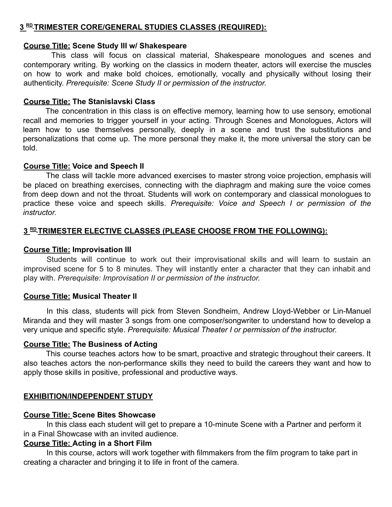#### **3 RD TRIMESTER CORE/GENERAL STUDIES CLASSES (REQUIRED):**

#### **Course Title: Scene Study III w/ Shakespeare**

This class will focus on classical material, Shakespeare monologues and scenes and contemporary writing. By working on the classics in modern theater, actors will exercise the muscles on how to work and make bold choices, emotionally, vocally and physically without losing their authenticity. *Prerequisite: Scene Study II or permission of the instructor.*

#### **Course Title: The Stanislavski Class**

The concentration in this class is on effective memory, learning how to use sensory, emotional recall and memories to trigger yourself in your acting. Through Scenes and Monologues, Actors will learn how to use themselves personally, deeply in a scene and trust the substitutions and personalizations that come up. The more personal they make it, the more universal the story can be told.

#### **Course Title: Voice and Speech II**

The class will tackle more advanced exercises to master strong voice projection, emphasis will be placed on breathing exercises, connecting with the diaphragm and making sure the voice comes from deep down and not the throat. Students will work on contemporary and classical monologues to practice these voice and speech skills. *Prerequisite: Voice and Speech I or permission of the instructor.*

#### **3 RD TRIMESTER ELECTIVE CLASSES (PLEASE CHOOSE FROM THE FOLLOWING):**

#### **Course Title: Improvisation III**

Students will continue to work out their improvisational skills and will learn to sustain an improvised scene for 5 to 8 minutes. They will instantly enter a character that they can inhabit and play with. *Prerequisite: Improvisation II or permission of the instructor.*

#### **Course Title: Musical Theater II**

In this class, students will pick from Steven Sondheim, Andrew Lloyd-Webber or Lin-Manuel Miranda and they will master 3 songs from one composer/songwriter to understand how to develop a very unique and specific style. *Prerequisite: Musical Theater I or permission of the instructor.*

#### **Course Title: The Business of Acting**

This course teaches actors how to be smart, proactive and strategic throughout their careers. It also teaches actors the non-performance skills they need to build the careers they want and how to apply those skills in positive, professional and productive ways.

#### **EXHIBITION/INDEPENDENT STUDY**

#### **Course Title: Scene Bites Showcase**

In this class each student will get to prepare a 10-minute Scene with a Partner and perform it in a Final Showcase with an invited audience.

#### **Course Title: Acting in a Short Film**

In this course, actors will work together with filmmakers from the film program to take part in creating a character and bringing it to life in front of the camera.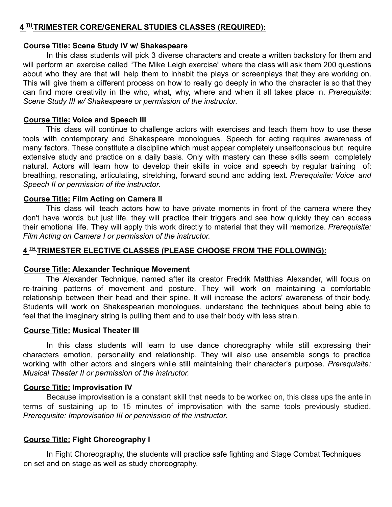#### **4 TH TRIMESTER CORE/GENERAL STUDIES CLASSES (REQUIRED):**

#### **Course Title: Scene Study IV w/ Shakespeare**

In this class students will pick 3 diverse characters and create a written backstory for them and will perform an exercise called "The Mike Leigh exercise" where the class will ask them 200 questions about who they are that will help them to inhabit the plays or screenplays that they are working on. This will give them a different process on how to really go deeply in who the character is so that they can find more creativity in the who, what, why, where and when it all takes place in. *Prerequisite: Scene Study III w/ Shakespeare or permission of the instructor.*

#### **Course Title: Voice and Speech III**

This class will continue to challenge actors with exercises and teach them how to use these tools with contemporary and Shakespeare monologues. Speech for acting requires awareness of many factors. These constitute a discipline which must appear completely unselfconscious but require extensive study and practice on a daily basis. Only with mastery can these skills seem completely natural. Actors will learn how to develop their skills in voice and speech by regular training of: breathing, resonating, articulating, stretching, forward sound and adding text. *Prerequisite: Voice and Speech II or permission of the instructor.*

#### **Course Title: Film Acting on Camera II**

This class will teach actors how to have private moments in front of the camera where they don't have words but just life. they will practice their triggers and see how quickly they can access their emotional life. They will apply this work directly to material that they will memorize. *Prerequisite: Film Acting on Camera I or permission of the instructor.*

#### **4 TH TRIMESTER ELECTIVE CLASSES (PLEASE CHOOSE FROM THE FOLLOWING):**

#### **Course Title: Alexander Technique Movement**

The Alexander Technique, named after its creator Fredrik Matthias Alexander, will focus on re-training patterns of movement and posture. They will work on maintaining a comfortable relationship between their head and their spine. It will increase the actors' awareness of their body. Students will work on Shakespearian monologues, understand the techniques about being able to feel that the imaginary string is pulling them and to use their body with less strain.

#### **Course Title: Musical Theater III**

In this class students will learn to use dance choreography while still expressing their characters emotion, personality and relationship. They will also use ensemble songs to practice working with other actors and singers while still maintaining their character's purpose. *Prerequisite: Musical Theater II or permission of the instructor.*

#### **Course Title: Improvisation IV**

Because improvisation is a constant skill that needs to be worked on, this class ups the ante in terms of sustaining up to 15 minutes of improvisation with the same tools previously studied. *Prerequisite: Improvisation III or permission of the instructor.*

#### **Course Title: Fight Choreography I**

In Fight Choreography, the students will practice safe fighting and Stage Combat Techniques on set and on stage as well as study choreography.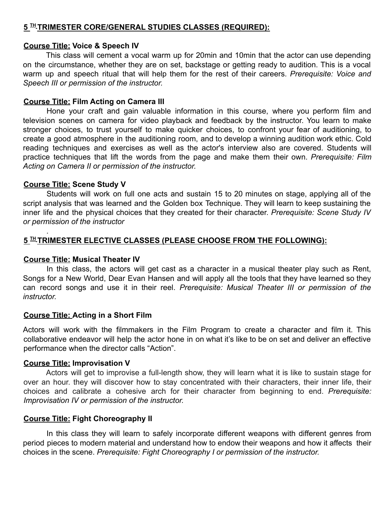#### **5 TH TRIMESTER CORE/GENERAL STUDIES CLASSES (REQUIRED):**

#### **Course Title: Voice & Speech IV**

This class will cement a vocal warm up for 20min and 10min that the actor can use depending on the circumstance, whether they are on set, backstage or getting ready to audition. This is a vocal warm up and speech ritual that will help them for the rest of their careers. *Prerequisite: Voice and Speech III or permission of the instructor.*

#### **Course Title: Film Acting on Camera III**

Hone your craft and gain valuable information in this course, where you perform film and television scenes on camera for video playback and feedback by the instructor. You learn to make stronger choices, to trust yourself to make quicker choices, to confront your fear of auditioning, to create a good atmosphere in the auditioning room, and to develop a winning audition work ethic. Cold reading techniques and exercises as well as the actor's interview also are covered. Students will practice techniques that lift the words from the page and make them their own. *Prerequisite: Film Acting on Camera II or permission of the instructor.*

#### **Course Title: Scene Study V**

*.*

Students will work on full one acts and sustain 15 to 20 minutes on stage, applying all of the script analysis that was learned and the Golden box Technique. They will learn to keep sustaining the inner life and the physical choices that they created for their character. *Prerequisite: Scene Study IV or permission of the instructor*

#### **5 TH TRIMESTER ELECTIVE CLASSES (PLEASE CHOOSE FROM THE FOLLOWING):**

#### **Course Title: Musical Theater IV**

In this class, the actors will get cast as a character in a musical theater play such as Rent, Songs for a New World, Dear Evan Hansen and will apply all the tools that they have learned so they can record songs and use it in their reel. *Prerequisite: Musical Theater III or permission of the instructor.*

#### **Course Title: Acting in a Short Film**

Actors will work with the filmmakers in the Film Program to create a character and film it. This collaborative endeavor will help the actor hone in on what it's like to be on set and deliver an effective performance when the director calls "Action".

#### **Course Title: Improvisation V**

Actors will get to improvise a full-length show, they will learn what it is like to sustain stage for over an hour. they will discover how to stay concentrated with their characters, their inner life, their choices and calibrate a cohesive arch for their character from beginning to end. *Prerequisite: Improvisation IV or permission of the instructor.*

#### **Course Title: Fight Choreography II**

In this class they will learn to safely incorporate different weapons with different genres from period pieces to modern material and understand how to endow their weapons and how it affects their choices in the scene. *Prerequisite: Fight Choreography I or permission of the instructor.*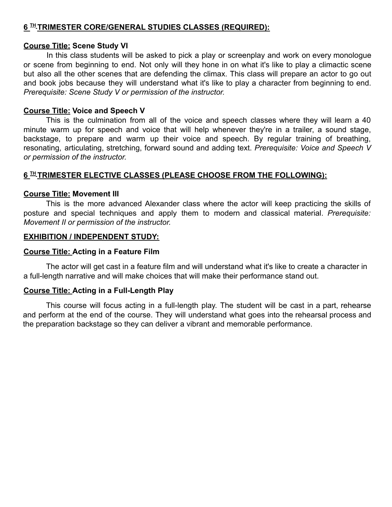#### **6 TH TRIMESTER CORE/GENERAL STUDIES CLASSES (REQUIRED):**

#### **Course Title: Scene Study VI**

In this class students will be asked to pick a play or screenplay and work on every monologue or scene from beginning to end. Not only will they hone in on what it's like to play a climactic scene but also all the other scenes that are defending the climax. This class will prepare an actor to go out and book jobs because they will understand what it's like to play a character from beginning to end. *Prerequisite: Scene Study V or permission of the instructor.*

#### **Course Title: Voice and Speech V**

This is the culmination from all of the voice and speech classes where they will learn a 40 minute warm up for speech and voice that will help whenever they're in a trailer, a sound stage, backstage, to prepare and warm up their voice and speech. By regular training of breathing, resonating, articulating, stretching, forward sound and adding text. *Prerequisite: Voice and Speech V or permission of the instructor.*

#### **6 TH TRIMESTER ELECTIVE CLASSES (PLEASE CHOOSE FROM THE FOLLOWING):**

#### **Course Title: Movement III**

This is the more advanced Alexander class where the actor will keep practicing the skills of posture and special techniques and apply them to modern and classical material. *Prerequisite: Movement II or permission of the instructor.*

#### **EXHIBITION / INDEPENDENT STUDY:**

#### **Course Title: Acting in a Feature Film**

The actor will get cast in a feature film and will understand what it's like to create a character in a full-length narrative and will make choices that will make their performance stand out.

#### **Course Title: Acting in a Full-Length Play**

This course will focus acting in a full-length play. The student will be cast in a part, rehearse and perform at the end of the course. They will understand what goes into the rehearsal process and the preparation backstage so they can deliver a vibrant and memorable performance.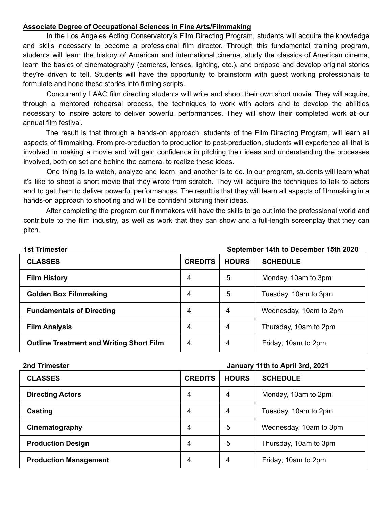#### **Associate Degree of Occupational Sciences in Fine Arts/Filmmaking**

In the Los Angeles Acting Conservatory's Film Directing Program, students will acquire the knowledge and skills necessary to become a professional film director. Through this fundamental training program, students will learn the history of American and international cinema, study the classics of American cinema, learn the basics of cinematography (cameras, lenses, lighting, etc.), and propose and develop original stories they're driven to tell. Students will have the opportunity to brainstorm with guest working professionals to formulate and hone these stories into filming scripts.

Concurrently LAAC film directing students will write and shoot their own short movie. They will acquire, through a mentored rehearsal process, the techniques to work with actors and to develop the abilities necessary to inspire actors to deliver powerful performances. They will show their completed work at our annual film festival.

The result is that through a hands-on approach, students of the Film Directing Program, will learn all aspects of filmmaking. From pre-production to production to post-production, students will experience all that is involved in making a movie and will gain confidence in pitching their ideas and understanding the processes involved, both on set and behind the camera, to realize these ideas.

One thing is to watch, analyze and learn, and another is to do. In our program, students will learn what it's like to shoot a short movie that they wrote from scratch. They will acquire the techniques to talk to actors and to get them to deliver powerful performances. The result is that they will learn all aspects of filmmaking in a hands-on approach to shooting and will be confident pitching their ideas.

After completing the program our filmmakers will have the skills to go out into the professional world and contribute to the film industry, as well as work that they can show and a full-length screenplay that they can pitch.

| <b>1st Trimester</b>                            | September 14th to December 15th 2020 |              |                        |
|-------------------------------------------------|--------------------------------------|--------------|------------------------|
| <b>CLASSES</b>                                  | <b>CREDITS</b>                       | <b>HOURS</b> | <b>SCHEDULE</b>        |
| <b>Film History</b>                             | 4                                    | 5            | Monday, 10am to 3pm    |
| <b>Golden Box Filmmaking</b>                    | 4                                    | 5            | Tuesday, 10am to 3pm   |
| <b>Fundamentals of Directing</b>                | 4                                    | 4            | Wednesday, 10am to 2pm |
| <b>Film Analysis</b>                            | 4                                    | 4            | Thursday, 10am to 2pm  |
| <b>Outline Treatment and Writing Short Film</b> | 4                                    | 4            | Friday, 10am to 2pm    |

#### **2nd Trimester January 11th to April 3rd, 2021**

| <b>CLASSES</b>               | <b>CREDITS</b> | <b>HOURS</b> | <b>SCHEDULE</b>        |
|------------------------------|----------------|--------------|------------------------|
| <b>Directing Actors</b>      | 4              | 4            | Monday, 10am to 2pm    |
| Casting                      | 4              | 4            | Tuesday, 10am to 2pm   |
| Cinematography               | 4              | 5            | Wednesday, 10am to 3pm |
| <b>Production Design</b>     | 4              | 5            | Thursday, 10am to 3pm  |
| <b>Production Management</b> | 4              | 4            | Friday, 10am to 2pm    |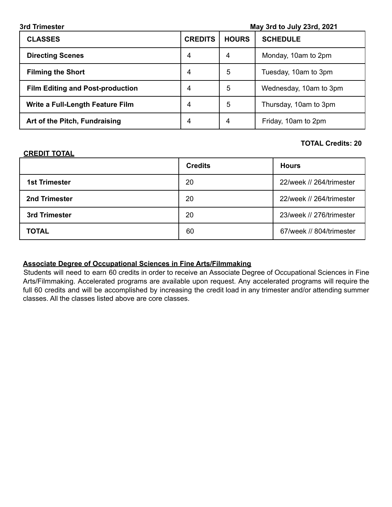| 3rd Trimester                           | May 3rd to July 23rd, 2021 |                |                        |
|-----------------------------------------|----------------------------|----------------|------------------------|
| <b>CLASSES</b>                          | <b>CREDITS</b>             | <b>HOURS</b>   | <b>SCHEDULE</b>        |
| <b>Directing Scenes</b>                 | 4                          | $\overline{4}$ | Monday, 10am to 2pm    |
| <b>Filming the Short</b>                | 4                          | 5              | Tuesday, 10am to 3pm   |
| <b>Film Editing and Post-production</b> | 4                          | 5              | Wednesday, 10am to 3pm |
| Write a Full-Length Feature Film        | 4                          | 5              | Thursday, 10am to 3pm  |
| Art of the Pitch, Fundraising           | 4                          | 4              | Friday, 10am to 2pm    |

#### **TOTAL Credits: 20**

#### **CREDIT TOTAL**

|                      | <b>Credits</b> | <b>Hours</b>             |
|----------------------|----------------|--------------------------|
| <b>1st Trimester</b> | 20             | 22/week // 264/trimester |
| 2nd Trimester        | 20             | 22/week // 264/trimester |
| 3rd Trimester        | 20             | 23/week // 276/trimester |
| <b>TOTAL</b>         | 60             | 67/week // 804/trimester |

#### **Associate Degree of Occupational Sciences in Fine Arts/Filmmaking**

Students will need to earn 60 credits in order to receive an Associate Degree of Occupational Sciences in Fine Arts/Filmmaking. Accelerated programs are available upon request. Any accelerated programs will require the full 60 credits and will be accomplished by increasing the credit load in any trimester and/or attending summer classes. All the classes listed above are core classes.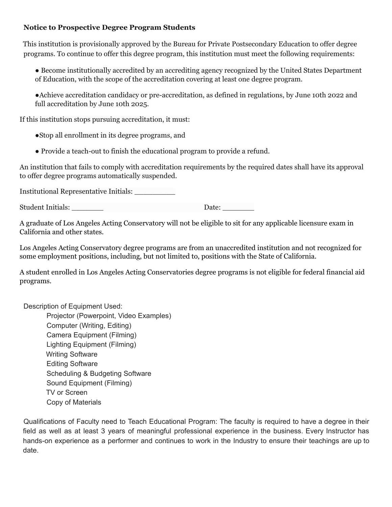#### **Notice to Prospective Degree Program Students**

This institution is provisionally approved by the Bureau for Private Postsecondary Education to offer degree programs. To continue to offer this degree program, this institution must meet the following requirements:

● Become institutionally accredited by an accrediting agency recognized by the United States Department of Education, with the scope of the accreditation covering at least one degree program.

●Achieve accreditation candidacy or pre-accreditation, as defined in regulations, by June 10th 2022 and full accreditation by June 10th 2025.

If this institution stops pursuing accreditation, it must:

●Stop all enrollment in its degree programs, and

● Provide a teach-out to finish the educational program to provide a refund.

An institution that fails to comply with accreditation requirements by the required dates shall have its approval to offer degree programs automatically suspended.

Institutional Representative Initials: \_\_\_\_\_\_\_\_\_

Student Initials: \_\_\_\_\_\_\_ Date: \_\_\_\_\_\_\_

A graduate of Los Angeles Acting Conservatory will not be eligible to sit for any applicable licensure exam in California and other states.

Los Angeles Acting Conservatory degree programs are from an unaccredited institution and not recognized for some employment positions, including, but not limited to, positions with the State of California.

A student enrolled in Los Angeles Acting Conservatories degree programs is not eligible for federal financial aid programs.

Description of Equipment Used:

Projector (Powerpoint, Video Examples) Computer (Writing, Editing) Camera Equipment (Filming) Lighting Equipment (Filming) Writing Software Editing Software Scheduling & Budgeting Software Sound Equipment (Filming) TV or Screen Copy of Materials

Qualifications of Faculty need to Teach Educational Program: The faculty is required to have a degree in their field as well as at least 3 years of meaningful professional experience in the business. Every Instructor has hands-on experience as a performer and continues to work in the Industry to ensure their teachings are up to date.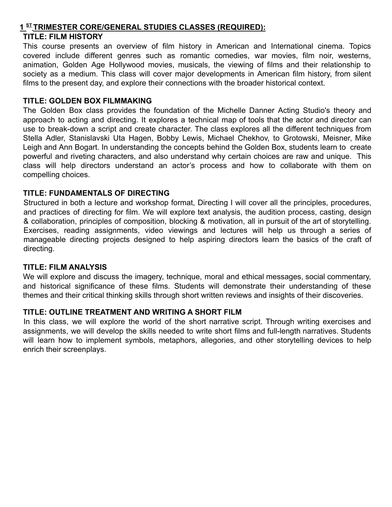#### **1 ST TRIMESTER CORE/GENERAL STUDIES CLASSES (REQUIRED):**

#### **TITLE: FILM HISTORY**

This course presents an overview of film history in American and International cinema. Topics covered include different genres such as romantic comedies, war movies, film noir, westerns, animation, Golden Age Hollywood movies, musicals, the viewing of films and their relationship to society as a medium. This class will cover major developments in American film history, from silent films to the present day, and explore their connections with the broader historical context.

#### **TITLE: GOLDEN BOX FILMMAKING**

The Golden Box class provides the foundation of the Michelle Danner Acting Studio's theory and approach to acting and directing. It explores a technical map of tools that the actor and director can use to break-down a script and create character. The class explores all the different techniques from Stella Adler, Stanislavski Uta Hagen, Bobby Lewis, Michael Chekhov, to Grotowski, Meisner, Mike Leigh and Ann Bogart. In understanding the concepts behind the Golden Box, students learn to create powerful and riveting characters, and also understand why certain choices are raw and unique. This class will help directors understand an actor's process and how to collaborate with them on compelling choices.

#### **TITLE: FUNDAMENTALS OF DIRECTING**

Structured in both a lecture and workshop format, Directing I will cover all the principles, procedures, and practices of directing for film. We will explore text analysis, the audition process, casting, design & collaboration, principles of composition, blocking & motivation, all in pursuit of the art of storytelling. Exercises, reading assignments, video viewings and lectures will help us through a series of manageable directing projects designed to help aspiring directors learn the basics of the craft of directing.

#### **TITLE: FILM ANALYSIS**

We will explore and discuss the imagery, technique, moral and ethical messages, social commentary, and historical significance of these films. Students will demonstrate their understanding of these themes and their critical thinking skills through short written reviews and insights of their discoveries.

#### **TITLE: OUTLINE TREATMENT AND WRITING A SHORT FILM**

In this class, we will explore the world of the short narrative script. Through writing exercises and assignments, we will develop the skills needed to write short films and full-length narratives. Students will learn how to implement symbols, metaphors, allegories, and other storytelling devices to help enrich their screenplays.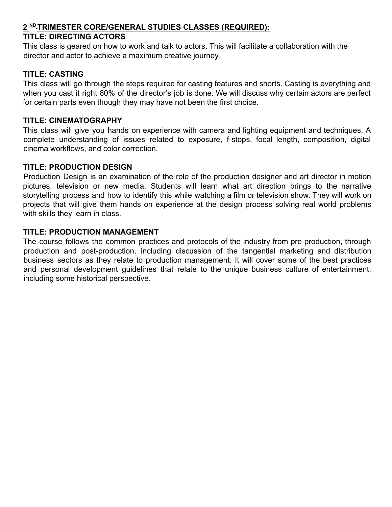#### **2 ND TRIMESTER CORE/GENERAL STUDIES CLASSES (REQUIRED):**

#### **TITLE: DIRECTING ACTORS**

This class is geared on how to work and talk to actors. This will facilitate a collaboration with the director and actor to achieve a maximum creative journey.

#### **TITLE: CASTING**

This class will go through the steps required for casting features and shorts. Casting is everything and when you cast it right 80% of the director's job is done. We will discuss why certain actors are perfect for certain parts even though they may have not been the first choice.

#### **TITLE: CINEMATOGRAPHY**

This class will give you hands on experience with camera and lighting equipment and techniques. A complete understanding of issues related to exposure, f-stops, focal length, composition, digital cinema workflows, and color correction.

#### **TITLE: PRODUCTION DESIGN**

Production Design is an examination of the role of the production designer and art director in motion pictures, television or new media. Students will learn what art direction brings to the narrative storytelling process and how to identify this while watching a film or television show. They will work on projects that will give them hands on experience at the design process solving real world problems with skills they learn in class.

#### **TITLE: PRODUCTION MANAGEMENT**

The course follows the common practices and protocols of the industry from pre-production, through production and post-production, including discussion of the tangential marketing and distribution business sectors as they relate to production management. It will cover some of the best practices and personal development guidelines that relate to the unique business culture of entertainment, including some historical perspective.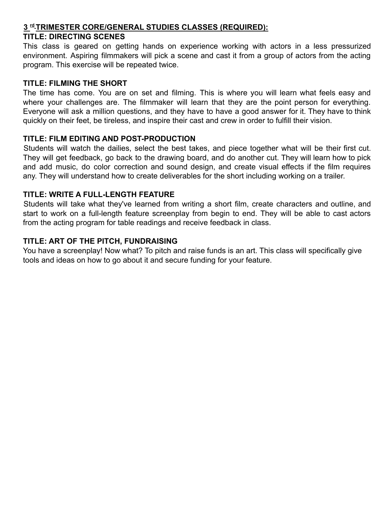#### **3 rd TRIMESTER CORE/GENERAL STUDIES CLASSES (REQUIRED):**

#### **TITLE: DIRECTING SCENES**

This class is geared on getting hands on experience working with actors in a less pressurized environment. Aspiring filmmakers will pick a scene and cast it from a group of actors from the acting program. This exercise will be repeated twice.

#### **TITLE: FILMING THE SHORT**

The time has come. You are on set and filming. This is where you will learn what feels easy and where your challenges are. The filmmaker will learn that they are the point person for everything. Everyone will ask a million questions, and they have to have a good answer for it. They have to think quickly on their feet, be tireless, and inspire their cast and crew in order to fulfill their vision.

#### **TITLE: FILM EDITING AND POST-PRODUCTION**

Students will watch the dailies, select the best takes, and piece together what will be their first cut. They will get feedback, go back to the drawing board, and do another cut. They will learn how to pick and add music, do color correction and sound design, and create visual effects if the film requires any. They will understand how to create deliverables for the short including working on a trailer.

#### **TITLE: WRITE A FULL-LENGTH FEATURE**

Students will take what they've learned from writing a short film, create characters and outline, and start to work on a full-length feature screenplay from begin to end. They will be able to cast actors from the acting program for table readings and receive feedback in class.

#### **TITLE: ART OF THE PITCH, FUNDRAISING**

You have a screenplay! Now what? To pitch and raise funds is an art. This class will specifically give tools and ideas on how to go about it and secure funding for your feature.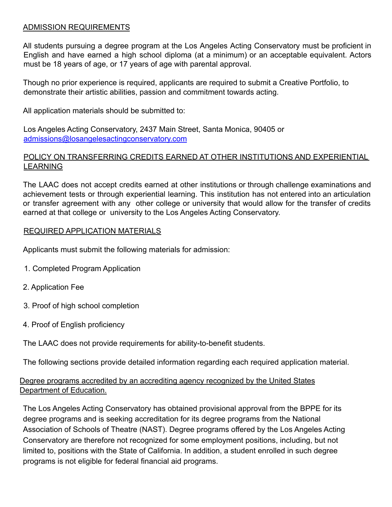#### ADMISSION REQUIREMENTS

All students pursuing a degree program at the Los Angeles Acting Conservatory must be proficient in English and have earned a high school diploma (at a minimum) or an acceptable equivalent. Actors must be 18 years of age, or 17 years of age with parental approval.

Though no prior experience is required, applicants are required to submit a Creative Portfolio, to demonstrate their artistic abilities, passion and commitment towards acting.

All application materials should be submitted to:

Los Angeles Acting Conservatory, 2437 Main Street, Santa Monica, 90405 or admissions@losangelesactingconservatory.com

#### POLICY ON TRANSFERRING CREDITS EARNED AT OTHER INSTITUTIONS AND EXPERIENTIAL LEARNING

The LAAC does not accept credits earned at other institutions or through challenge examinations and achievement tests or through experiential learning. This institution has not entered into an articulation or transfer agreement with any other college or university that would allow for the transfer of credits earned at that college or university to the Los Angeles Acting Conservatory.

#### REQUIRED APPLICATION MATERIALS

Applicants must submit the following materials for admission:

- 1. Completed Program Application
- 2. Application Fee
- 3. Proof of high school completion
- 4. Proof of English proficiency

The LAAC does not provide requirements for ability-to-benefit students.

The following sections provide detailed information regarding each required application material.

#### Degree programs accredited by an accrediting agency recognized by the United States Department of Education.

The Los Angeles Acting Conservatory has obtained provisional approval from the BPPE for its degree programs and is seeking accreditation for its degree programs from the National Association of Schools of Theatre (NAST). Degree programs offered by the Los Angeles Acting Conservatory are therefore not recognized for some employment positions, including, but not limited to, positions with the State of California. In addition, a student enrolled in such degree programs is not eligible for federal financial aid programs.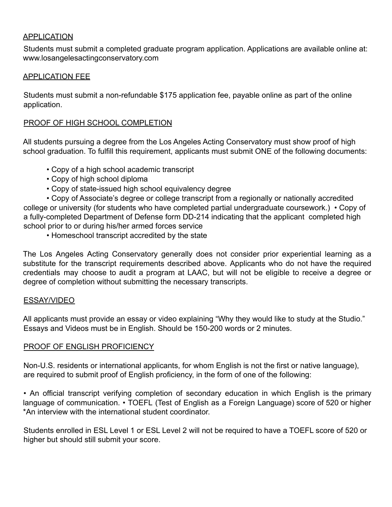#### APPLICATION

Students must submit a completed graduate program application. Applications are available online at: www.losangelesactingconservatory.com

#### APPLICATION FEE

Students must submit a non-refundable \$175 application fee, payable online as part of the online application.

#### PROOF OF HIGH SCHOOL COMPLETION

All students pursuing a degree from the Los Angeles Acting Conservatory must show proof of high school graduation. To fulfill this requirement, applicants must submit ONE of the following documents:

- Copy of a high school academic transcript
- Copy of high school diploma
- Copy of state-issued high school equivalency degree

• Copy of Associate's degree or college transcript from a regionally or nationally accredited college or university (for students who have completed partial undergraduate coursework.) • Copy of a fully-completed Department of Defense form DD-214 indicating that the applicant completed high school prior to or during his/her armed forces service

• Homeschool transcript accredited by the state

The Los Angeles Acting Conservatory generally does not consider prior experiential learning as a substitute for the transcript requirements described above. Applicants who do not have the required credentials may choose to audit a program at LAAC, but will not be eligible to receive a degree or degree of completion without submitting the necessary transcripts.

#### ESSAY/VIDEO

All applicants must provide an essay or video explaining "Why they would like to study at the Studio." Essays and Videos must be in English. Should be 150-200 words or 2 minutes.

#### PROOF OF ENGLISH PROFICIENCY

Non-U.S. residents or international applicants, for whom English is not the first or native language), are required to submit proof of English proficiency, in the form of one of the following:

• An official transcript verifying completion of secondary education in which English is the primary language of communication. • TOEFL (Test of English as a Foreign Language) score of 520 or higher \*An interview with the international student coordinator.

Students enrolled in ESL Level 1 or ESL Level 2 will not be required to have a TOEFL score of 520 or higher but should still submit your score.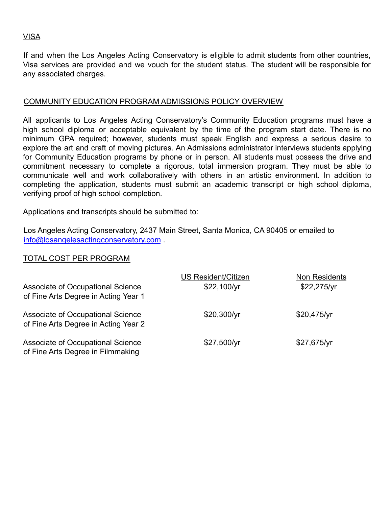#### VISA

If and when the Los Angeles Acting Conservatory is eligible to admit students from other countries, Visa services are provided and we vouch for the student status. The student will be responsible for any associated charges.

#### COMMUNITY EDUCATION PROGRAM ADMISSIONS POLICY OVERVIEW

All applicants to Los Angeles Acting Conservatory's Community Education programs must have a high school diploma or acceptable equivalent by the time of the program start date. There is no minimum GPA required; however, students must speak English and express a serious desire to explore the art and craft of moving pictures. An Admissions administrator interviews students applying for Community Education programs by phone or in person. All students must possess the drive and commitment necessary to complete a rigorous, total immersion program. They must be able to communicate well and work collaboratively with others in an artistic environment. In addition to completing the application, students must submit an academic transcript or high school diploma, verifying proof of high school completion.

Applications and transcripts should be submitted to:

Los Angeles Acting Conservatory, 2437 Main Street, Santa Monica, CA 90405 or emailed to info@losangelesactingconservatory.com .

#### TOTAL COST PER PROGRAM

| Associate of Occupational Science<br>of Fine Arts Degree in Acting Year 1 | <b>US Resident/Citizen</b><br>\$22,100/yr | Non Residents<br>\$22,275/yr |
|---------------------------------------------------------------------------|-------------------------------------------|------------------------------|
| Associate of Occupational Science<br>of Fine Arts Degree in Acting Year 2 | \$20,300/yr                               | \$20,475/yr                  |
| Associate of Occupational Science<br>of Fine Arts Degree in Filmmaking    | \$27,500/yr                               | \$27,675/yr                  |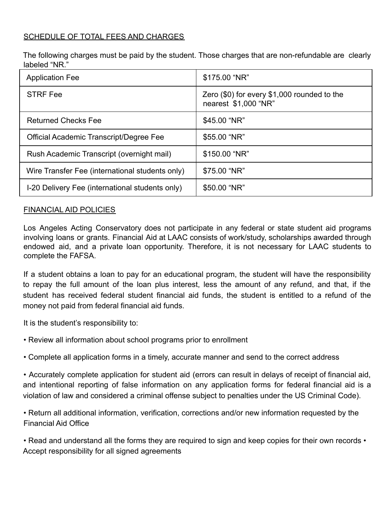#### SCHEDULE OF TOTAL FEES AND CHARGES

The following charges must be paid by the student. Those charges that are non-refundable are clearly labeled "NR."

| <b>Application Fee</b>                          | \$175.00 "NR"                                                       |
|-------------------------------------------------|---------------------------------------------------------------------|
| <b>STRF Fee</b>                                 | Zero (\$0) for every \$1,000 rounded to the<br>nearest \$1,000 "NR" |
| <b>Returned Checks Fee</b>                      | \$45.00 "NR"                                                        |
| Official Academic Transcript/Degree Fee         | \$55.00 "NR"                                                        |
| Rush Academic Transcript (overnight mail)       | \$150.00 "NR"                                                       |
| Wire Transfer Fee (international students only) | \$75.00 "NR"                                                        |
| I-20 Delivery Fee (international students only) | \$50.00 "NR"                                                        |

#### FINANCIAL AID POLICIES

Los Angeles Acting Conservatory does not participate in any federal or state student aid programs involving loans or grants. Financial Aid at LAAC consists of work/study, scholarships awarded through endowed aid, and a private loan opportunity. Therefore, it is not necessary for LAAC students to complete the FAFSA.

If a student obtains a loan to pay for an educational program, the student will have the responsibility to repay the full amount of the loan plus interest, less the amount of any refund, and that, if the student has received federal student financial aid funds, the student is entitled to a refund of the money not paid from federal financial aid funds.

It is the student's responsibility to:

• Review all information about school programs prior to enrollment

• Complete all application forms in a timely, accurate manner and send to the correct address

• Accurately complete application for student aid (errors can result in delays of receipt of financial aid, and intentional reporting of false information on any application forms for federal financial aid is a violation of law and considered a criminal offense subject to penalties under the US Criminal Code).

• Return all additional information, verification, corrections and/or new information requested by the Financial Aid Office

• Read and understand all the forms they are required to sign and keep copies for their own records • Accept responsibility for all signed agreements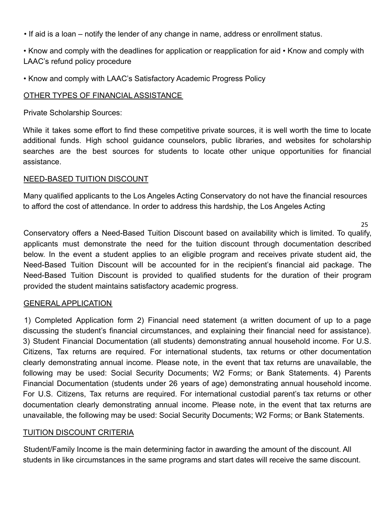• If aid is a loan – notify the lender of any change in name, address or enrollment status.

• Know and comply with the deadlines for application or reapplication for aid • Know and comply with LAAC's refund policy procedure

• Know and comply with LAAC's Satisfactory Academic Progress Policy

#### OTHER TYPES OF FINANCIAL ASSISTANCE

Private Scholarship Sources:

While it takes some effort to find these competitive private sources, it is well worth the time to locate additional funds. High school guidance counselors, public libraries, and websites for scholarship searches are the best sources for students to locate other unique opportunities for financial assistance.

#### NEED-BASED TUITION DISCOUNT

Many qualified applicants to the Los Angeles Acting Conservatory do not have the financial resources to afford the cost of attendance. In order to address this hardship, the Los Angeles Acting

25

Conservatory offers a Need-Based Tuition Discount based on availability which is limited. To qualify, applicants must demonstrate the need for the tuition discount through documentation described below. In the event a student applies to an eligible program and receives private student aid, the Need-Based Tuition Discount will be accounted for in the recipient's financial aid package. The Need-Based Tuition Discount is provided to qualified students for the duration of their program provided the student maintains satisfactory academic progress.

#### GENERAL APPLICATION

1) Completed Application form 2) Financial need statement (a written document of up to a page discussing the student's financial circumstances, and explaining their financial need for assistance). 3) Student Financial Documentation (all students) demonstrating annual household income. For U.S. Citizens, Tax returns are required. For international students, tax returns or other documentation clearly demonstrating annual income. Please note, in the event that tax returns are unavailable, the following may be used: Social Security Documents; W2 Forms; or Bank Statements. 4) Parents Financial Documentation (students under 26 years of age) demonstrating annual household income. For U.S. Citizens, Tax returns are required. For international custodial parent's tax returns or other documentation clearly demonstrating annual income. Please note, in the event that tax returns are unavailable, the following may be used: Social Security Documents; W2 Forms; or Bank Statements.

#### TUITION DISCOUNT CRITERIA

Student/Family Income is the main determining factor in awarding the amount of the discount. All students in like circumstances in the same programs and start dates will receive the same discount.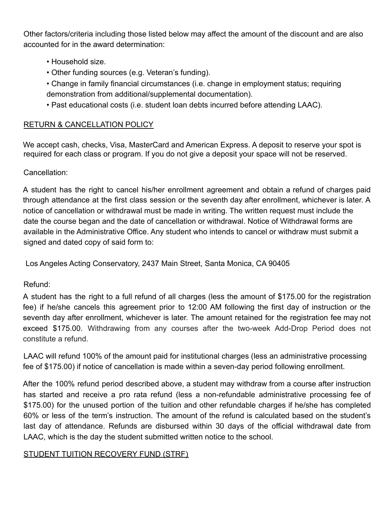Other factors/criteria including those listed below may affect the amount of the discount and are also accounted for in the award determination:

- Household size.
- Other funding sources (e.g. Veteran's funding).
- Change in family financial circumstances (i.e. change in employment status; requiring demonstration from additional/supplemental documentation).
- Past educational costs (i.e. student loan debts incurred before attending LAAC).

#### RETURN & CANCELLATION POLICY

We accept cash, checks, Visa, MasterCard and American Express. A deposit to reserve your spot is required for each class or program. If you do not give a deposit your space will not be reserved.

#### Cancellation:

A student has the right to cancel his/her enrollment agreement and obtain a refund of charges paid through attendance at the first class session or the seventh day after enrollment, whichever is later. A notice of cancellation or withdrawal must be made in writing. The written request must include the date the course began and the date of cancellation or withdrawal. Notice of Withdrawal forms are available in the Administrative Office. Any student who intends to cancel or withdraw must submit a signed and dated copy of said form to:

Los Angeles Acting Conservatory, 2437 Main Street, Santa Monica, CA 90405

#### Refund:

A student has the right to a full refund of all charges (less the amount of \$175.00 for the registration fee) if he/she cancels this agreement prior to 12:00 AM following the first day of instruction or the seventh day after enrollment, whichever is later. The amount retained for the registration fee may not exceed \$175.00. Withdrawing from any courses after the two-week Add-Drop Period does not constitute a refund.

LAAC will refund 100% of the amount paid for institutional charges (less an administrative processing fee of \$175.00) if notice of cancellation is made within a seven-day period following enrollment.

After the 100% refund period described above, a student may withdraw from a course after instruction has started and receive a pro rata refund (less a non-refundable administrative processing fee of \$175.00) for the unused portion of the tuition and other refundable charges if he/she has completed 60% or less of the term's instruction. The amount of the refund is calculated based on the student's last day of attendance. Refunds are disbursed within 30 days of the official withdrawal date from LAAC, which is the day the student submitted written notice to the school.

#### STUDENT TUITION RECOVERY FUND (STRF)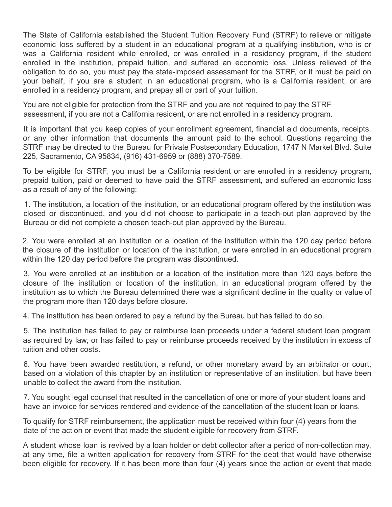The State of California established the Student Tuition Recovery Fund (STRF) to relieve or mitigate economic loss suffered by a student in an educational program at a qualifying institution, who is or was a California resident while enrolled, or was enrolled in a residency program, if the student enrolled in the institution, prepaid tuition, and suffered an economic loss. Unless relieved of the obligation to do so, you must pay the state-imposed assessment for the STRF, or it must be paid on your behalf, if you are a student in an educational program, who is a California resident, or are enrolled in a residency program, and prepay all or part of your tuition.

You are not eligible for protection from the STRF and you are not required to pay the STRF assessment, if you are not a California resident, or are not enrolled in a residency program.

It is important that you keep copies of your enrollment agreement, financial aid documents, receipts, or any other information that documents the amount paid to the school. Questions regarding the STRF may be directed to the Bureau for Private Postsecondary Education, 1747 N Market Blvd. Suite 225, Sacramento, CA 95834, (916) 431-6959 or (888) 370-7589.

To be eligible for STRF, you must be a California resident or are enrolled in a residency program, prepaid tuition, paid or deemed to have paid the STRF assessment, and suffered an economic loss as a result of any of the following:

1. The institution, a location of the institution, or an educational program offered by the institution was closed or discontinued, and you did not choose to participate in a teach-out plan approved by the Bureau or did not complete a chosen teach-out plan approved by the Bureau.

2. You were enrolled at an institution or a location of the institution within the 120 day period before the closure of the institution or location of the institution, or were enrolled in an educational program within the 120 day period before the program was discontinued.

3. You were enrolled at an institution or a location of the institution more than 120 days before the closure of the institution or location of the institution, in an educational program offered by the institution as to which the Bureau determined there was a significant decline in the quality or value of the program more than 120 days before closure.

4. The institution has been ordered to pay a refund by the Bureau but has failed to do so.

5. The institution has failed to pay or reimburse loan proceeds under a federal student loan program as required by law, or has failed to pay or reimburse proceeds received by the institution in excess of tuition and other costs.

6. You have been awarded restitution, a refund, or other monetary award by an arbitrator or court, based on a violation of this chapter by an institution or representative of an institution, but have been unable to collect the award from the institution.

7. You sought legal counsel that resulted in the cancellation of one or more of your student loans and have an invoice for services rendered and evidence of the cancellation of the student loan or loans.

To qualify for STRF reimbursement, the application must be received within four (4) years from the date of the action or event that made the student eligible for recovery from STRF.

A student whose loan is revived by a loan holder or debt collector after a period of non-collection may, at any time, file a written application for recovery from STRF for the debt that would have otherwise been eligible for recovery. If it has been more than four (4) years since the action or event that made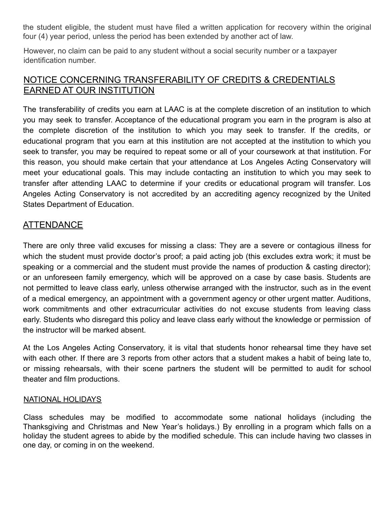the student eligible, the student must have filed a written application for recovery within the original four (4) year period, unless the period has been extended by another act of law.

However, no claim can be paid to any student without a social security number or a taxpayer identification number.

### NOTICE CONCERNING TRANSFERABILITY OF CREDITS & CREDENTIALS EARNED AT OUR INSTITUTION

The transferability of credits you earn at LAAC is at the complete discretion of an institution to which you may seek to transfer. Acceptance of the educational program you earn in the program is also at the complete discretion of the institution to which you may seek to transfer. If the credits, or educational program that you earn at this institution are not accepted at the institution to which you seek to transfer, you may be required to repeat some or all of your coursework at that institution. For this reason, you should make certain that your attendance at Los Angeles Acting Conservatory will meet your educational goals. This may include contacting an institution to which you may seek to transfer after attending LAAC to determine if your credits or educational program will transfer. Los Angeles Acting Conservatory is not accredited by an accrediting agency recognized by the United States Department of Education.

#### ATTENDANCE

There are only three valid excuses for missing a class: They are a severe or contagious illness for which the student must provide doctor's proof; a paid acting job (this excludes extra work; it must be speaking or a commercial and the student must provide the names of production & casting director); or an unforeseen family emergency, which will be approved on a case by case basis. Students are not permitted to leave class early, unless otherwise arranged with the instructor, such as in the event of a medical emergency, an appointment with a government agency or other urgent matter. Auditions, work commitments and other extracurricular activities do not excuse students from leaving class early. Students who disregard this policy and leave class early without the knowledge or permission of the instructor will be marked absent.

At the Los Angeles Acting Conservatory, it is vital that students honor rehearsal time they have set with each other. If there are 3 reports from other actors that a student makes a habit of being late to, or missing rehearsals, with their scene partners the student will be permitted to audit for school theater and film productions.

#### NATIONAL HOLIDAYS

Class schedules may be modified to accommodate some national holidays (including the Thanksgiving and Christmas and New Year's holidays.) By enrolling in a program which falls on a holiday the student agrees to abide by the modified schedule. This can include having two classes in one day, or coming in on the weekend.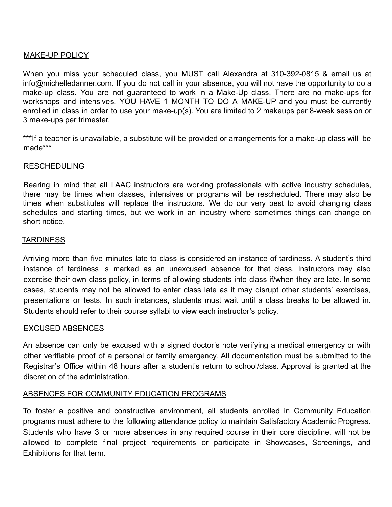#### MAKE-UP POLICY

When you miss your scheduled class, you MUST call Alexandra at 310-392-0815 & email us at info@michelledanner.com. If you do not call in your absence, you will not have the opportunity to do a make-up class. You are not guaranteed to work in a Make-Up class. There are no make-ups for workshops and intensives. YOU HAVE 1 MONTH TO DO A MAKE-UP and you must be currently enrolled in class in order to use your make-up(s). You are limited to 2 makeups per 8-week session or 3 make-ups per trimester.

\*\*\*If a teacher is unavailable, a substitute will be provided or arrangements for a make-up class will be made\*\*\*

#### RESCHEDULING

Bearing in mind that all LAAC instructors are working professionals with active industry schedules, there may be times when classes, intensives or programs will be rescheduled. There may also be times when substitutes will replace the instructors. We do our very best to avoid changing class schedules and starting times, but we work in an industry where sometimes things can change on short notice.

#### **TARDINESS**

Arriving more than five minutes late to class is considered an instance of tardiness. A student's third instance of tardiness is marked as an unexcused absence for that class. Instructors may also exercise their own class policy, in terms of allowing students into class if/when they are late. In some cases, students may not be allowed to enter class late as it may disrupt other students' exercises, presentations or tests. In such instances, students must wait until a class breaks to be allowed in. Students should refer to their course syllabi to view each instructor's policy.

#### EXCUSED ABSENCES

An absence can only be excused with a signed doctor's note verifying a medical emergency or with other verifiable proof of a personal or family emergency. All documentation must be submitted to the Registrar's Office within 48 hours after a student's return to school/class. Approval is granted at the discretion of the administration.

#### ABSENCES FOR COMMUNITY EDUCATION PROGRAMS

To foster a positive and constructive environment, all students enrolled in Community Education programs must adhere to the following attendance policy to maintain Satisfactory Academic Progress. Students who have 3 or more absences in any required course in their core discipline, will not be allowed to complete final project requirements or participate in Showcases, Screenings, and Exhibitions for that term.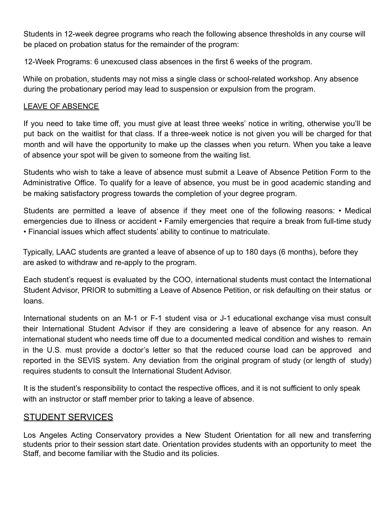Students in 12-week degree programs who reach the following absence thresholds in any course will be placed on probation status for the remainder of the program:

12-Week Programs: 6 unexcused class absences in the first 6 weeks of the program.

While on probation, students may not miss a single class or school-related workshop. Any absence during the probationary period may lead to suspension or expulsion from the program.

#### LEAVE OF ABSENCE

If you need to take time off, you must give at least three weeks' notice in writing, otherwise you'll be put back on the waitlist for that class. If a three-week notice is not given you will be charged for that month and will have the opportunity to make up the classes when you return. When you take a leave of absence your spot will be given to someone from the waiting list.

Students who wish to take a leave of absence must submit a Leave of Absence Petition Form to the Administrative Office. To qualify for a leave of absence, you must be in good academic standing and be making satisfactory progress towards the completion of your degree program.

Students are permitted a leave of absence if they meet one of the following reasons: • Medical emergencies due to illness or accident • Family emergencies that require a break from full-time study • Financial issues which affect students' ability to continue to matriculate.

Typically, LAAC students are granted a leave of absence of up to 180 days (6 months), before they are asked to withdraw and re-apply to the program.

Each student's request is evaluated by the COO, international students must contact the International Student Advisor, PRIOR to submitting a Leave of Absence Petition, or risk defaulting on their status or loans.

International students on an M-1 or F-1 student visa or J-1 educational exchange visa must consult their International Student Advisor if they are considering a leave of absence for any reason. An international student who needs time off due to a documented medical condition and wishes to remain in the U.S. must provide a doctor's letter so that the reduced course load can be approved and reported in the SEVIS system. Any deviation from the original program of study (or length of study) requires students to consult the International Student Advisor.

It is the student's responsibility to contact the respective offices, and it is not sufficient to only speak with an instructor or staff member prior to taking a leave of absence.

#### STUDENT SERVICES

Los Angeles Acting Conservatory provides a New Student Orientation for all new and transferring students prior to their session start date. Orientation provides students with an opportunity to meet the Staff, and become familiar with the Studio and its policies.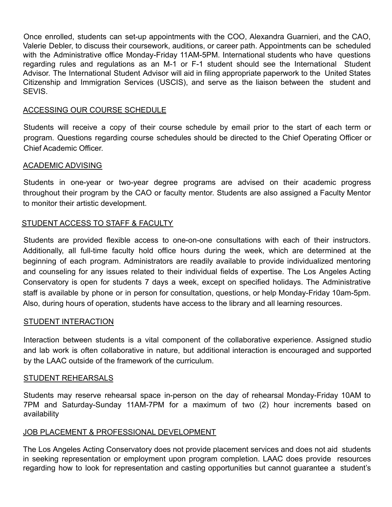Once enrolled, students can set-up appointments with the COO, Alexandra Guarnieri, and the CAO, Valerie Debler, to discuss their coursework, auditions, or career path. Appointments can be scheduled with the Administrative office Monday-Friday 11AM-5PM. International students who have questions regarding rules and regulations as an M-1 or F-1 student should see the International Student Advisor. The International Student Advisor will aid in filing appropriate paperwork to the United States Citizenship and Immigration Services (USCIS), and serve as the liaison between the student and **SEVIS** 

#### ACCESSING OUR COURSE SCHEDULE

Students will receive a copy of their course schedule by email prior to the start of each term or program. Questions regarding course schedules should be directed to the Chief Operating Officer or Chief Academic Officer.

#### ACADEMIC ADVISING

Students in one-year or two-year degree programs are advised on their academic progress throughout their program by the CAO or faculty mentor. Students are also assigned a Faculty Mentor to monitor their artistic development.

#### STUDENT ACCESS TO STAFF & FACULTY

Students are provided flexible access to one-on-one consultations with each of their instructors. Additionally, all full-time faculty hold office hours during the week, which are determined at the beginning of each program. Administrators are readily available to provide individualized mentoring and counseling for any issues related to their individual fields of expertise. The Los Angeles Acting Conservatory is open for students 7 days a week, except on specified holidays. The Administrative staff is available by phone or in person for consultation, questions, or help Monday-Friday 10am-5pm. Also, during hours of operation, students have access to the library and all learning resources.

#### STUDENT INTERACTION

Interaction between students is a vital component of the collaborative experience. Assigned studio and lab work is often collaborative in nature, but additional interaction is encouraged and supported by the LAAC outside of the framework of the curriculum.

#### STUDENT REHEARSALS

Students may reserve rehearsal space in-person on the day of rehearsal Monday-Friday 10AM to 7PM and Saturday-Sunday 11AM-7PM for a maximum of two (2) hour increments based on availability

#### JOB PLACEMENT & PROFESSIONAL DEVELOPMENT

The Los Angeles Acting Conservatory does not provide placement services and does not aid students in seeking representation or employment upon program completion. LAAC does provide resources regarding how to look for representation and casting opportunities but cannot guarantee a student's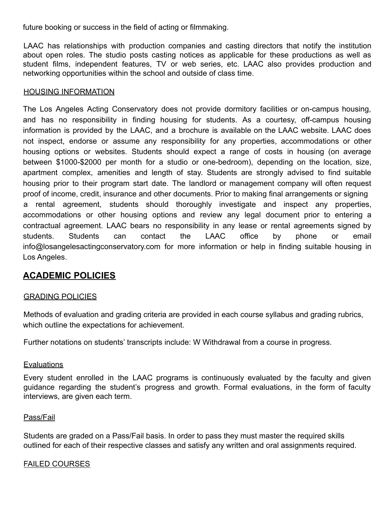future booking or success in the field of acting or filmmaking.

LAAC has relationships with production companies and casting directors that notify the institution about open roles. The studio posts casting notices as applicable for these productions as well as student films, independent features, TV or web series, etc. LAAC also provides production and networking opportunities within the school and outside of class time.

#### HOUSING INFORMATION

The Los Angeles Acting Conservatory does not provide dormitory facilities or on-campus housing, and has no responsibility in finding housing for students. As a courtesy, off-campus housing information is provided by the LAAC, and a brochure is available on the LAAC website. LAAC does not inspect, endorse or assume any responsibility for any properties, accommodations or other housing options or websites. Students should expect a range of costs in housing (on average between \$1000-\$2000 per month for a studio or one-bedroom), depending on the location, size, apartment complex, amenities and length of stay. Students are strongly advised to find suitable housing prior to their program start date. The landlord or management company will often request proof of income, credit, insurance and other documents. Prior to making final arrangements or signing a rental agreement, students should thoroughly investigate and inspect any properties, accommodations or other housing options and review any legal document prior to entering a contractual agreement. LAAC bears no responsibility in any lease or rental agreements signed by students. Students can contact the LAAC office by phone or email info@losangelesactingconservatory.com for more information or help in finding suitable housing in Los Angeles.

### **ACADEMIC POLICIES**

#### GRADING POLICIES

Methods of evaluation and grading criteria are provided in each course syllabus and grading rubrics, which outline the expectations for achievement.

Further notations on students' transcripts include: W Withdrawal from a course in progress.

#### **Evaluations**

Every student enrolled in the LAAC programs is continuously evaluated by the faculty and given guidance regarding the student's progress and growth. Formal evaluations, in the form of faculty interviews, are given each term.

#### Pass/Fail

Students are graded on a Pass/Fail basis. In order to pass they must master the required skills outlined for each of their respective classes and satisfy any written and oral assignments required.

#### FAILED COURSES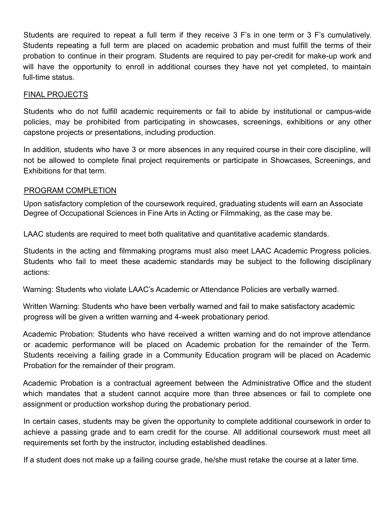Students are required to repeat a full term if they receive 3 F's in one term or 3 F's cumulatively. Students repeating a full term are placed on academic probation and must fulfill the terms of their probation to continue in their program. Students are required to pay per-credit for make-up work and will have the opportunity to enroll in additional courses they have not yet completed, to maintain full-time status.

#### FINAL PROJECTS

Students who do not fulfill academic requirements or fail to abide by institutional or campus-wide policies, may be prohibited from participating in showcases, screenings, exhibitions or any other capstone projects or presentations, including production.

In addition, students who have 3 or more absences in any required course in their core discipline, will not be allowed to complete final project requirements or participate in Showcases, Screenings, and Exhibitions for that term.

#### PROGRAM COMPLETION

Upon satisfactory completion of the coursework required, graduating students will earn an Associate Degree of Occupational Sciences in Fine Arts in Acting or Filmmaking, as the case may be.

LAAC students are required to meet both qualitative and quantitative academic standards.

Students in the acting and filmmaking programs must also meet LAAC Academic Progress policies. Students who fail to meet these academic standards may be subject to the following disciplinary actions:

Warning: Students who violate LAAC's Academic or Attendance Policies are verbally warned.

Written Warning: Students who have been verbally warned and fail to make satisfactory academic progress will be given a written warning and 4-week probationary period.

Academic Probation: Students who have received a written warning and do not improve attendance or academic performance will be placed on Academic probation for the remainder of the Term. Students receiving a failing grade in a Community Education program will be placed on Academic Probation for the remainder of their program.

Academic Probation is a contractual agreement between the Administrative Office and the student which mandates that a student cannot acquire more than three absences or fail to complete one assignment or production workshop during the probationary period.

In certain cases, students may be given the opportunity to complete additional coursework in order to achieve a passing grade and to earn credit for the course. All additional coursework must meet all requirements set forth by the instructor, including established deadlines.

If a student does not make up a failing course grade, he/she must retake the course at a later time.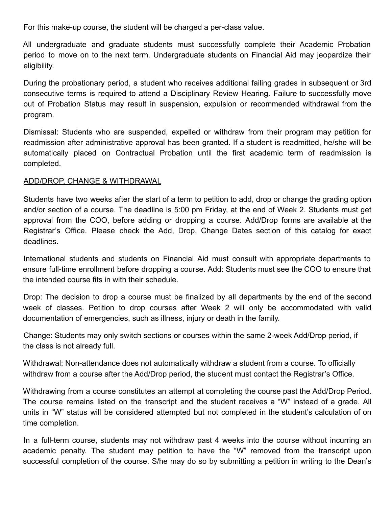For this make-up course, the student will be charged a per-class value.

All undergraduate and graduate students must successfully complete their Academic Probation period to move on to the next term. Undergraduate students on Financial Aid may jeopardize their eligibility.

During the probationary period, a student who receives additional failing grades in subsequent or 3rd consecutive terms is required to attend a Disciplinary Review Hearing. Failure to successfully move out of Probation Status may result in suspension, expulsion or recommended withdrawal from the program.

Dismissal: Students who are suspended, expelled or withdraw from their program may petition for readmission after administrative approval has been granted. If a student is readmitted, he/she will be automatically placed on Contractual Probation until the first academic term of readmission is completed.

#### ADD/DROP, CHANGE & WITHDRAWAL

Students have two weeks after the start of a term to petition to add, drop or change the grading option and/or section of a course. The deadline is 5:00 pm Friday, at the end of Week 2. Students must get approval from the COO, before adding or dropping a course. Add/Drop forms are available at the Registrar's Office. Please check the Add, Drop, Change Dates section of this catalog for exact deadlines.

International students and students on Financial Aid must consult with appropriate departments to ensure full-time enrollment before dropping a course. Add: Students must see the COO to ensure that the intended course fits in with their schedule.

Drop: The decision to drop a course must be finalized by all departments by the end of the second week of classes. Petition to drop courses after Week 2 will only be accommodated with valid documentation of emergencies, such as illness, injury or death in the family.

Change: Students may only switch sections or courses within the same 2-week Add/Drop period, if the class is not already full.

Withdrawal: Non-attendance does not automatically withdraw a student from a course. To officially withdraw from a course after the Add/Drop period, the student must contact the Registrar's Office.

Withdrawing from a course constitutes an attempt at completing the course past the Add/Drop Period. The course remains listed on the transcript and the student receives a "W" instead of a grade. All units in "W" status will be considered attempted but not completed in the student's calculation of on time completion.

In a full-term course, students may not withdraw past 4 weeks into the course without incurring an academic penalty. The student may petition to have the "W" removed from the transcript upon successful completion of the course. S/he may do so by submitting a petition in writing to the Dean's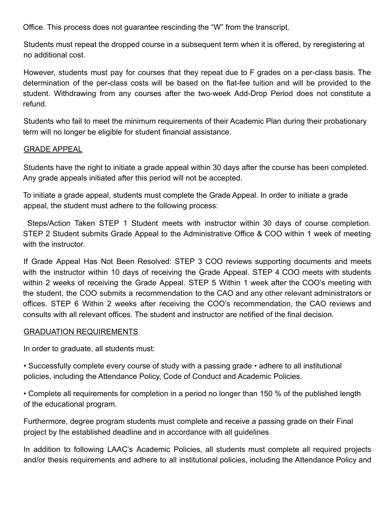Office. This process does not guarantee rescinding the "W" from the transcript.

Students must repeat the dropped course in a subsequent term when it is offered, by reregistering at no additional cost.

However, students must pay for courses that they repeat due to F grades on a per-class basis. The determination of the per-class costs will be based on the flat-fee tuition and will be provided to the student. Withdrawing from any courses after the two-week Add-Drop Period does not constitute a refund.

Students who fail to meet the minimum requirements of their Academic Plan during their probationary term will no longer be eligible for student financial assistance.

#### GRADE APPEAL

Students have the right to initiate a grade appeal within 30 days after the course has been completed. Any grade appeals initiated after this period will not be accepted.

To initiate a grade appeal, students must complete the Grade Appeal. In order to initiate a grade appeal, the student must adhere to the following process:

Steps/Action Taken STEP 1 Student meets with instructor within 30 days of course completion. STEP 2 Student submits Grade Appeal to the Administrative Office & COO within 1 week of meeting with the instructor

If Grade Appeal Has Not Been Resolved: STEP 3 COO reviews supporting documents and meets with the instructor within 10 days of receiving the Grade Appeal. STEP 4 COO meets with students within 2 weeks of receiving the Grade Appeal. STEP 5 Within 1 week after the COO's meeting with the student, the COO submits a recommendation to the CAO and any other relevant administrators or offices. STEP 6 Within 2 weeks after receiving the COO's recommendation, the CAO reviews and consults with all relevant offices. The student and instructor are notified of the final decision.

#### GRADUATION REQUIREMENTS

In order to graduate, all students must:

• Successfully complete every course of study with a passing grade • adhere to all institutional policies, including the Attendance Policy, Code of Conduct and Academic Policies.

• Complete all requirements for completion in a period no longer than 150 % of the published length of the educational program.

Furthermore, degree program students must complete and receive a passing grade on their Final project by the established deadline and in accordance with all guidelines

In addition to following LAAC's Academic Policies, all students must complete all required projects and/or thesis requirements and adhere to all institutional policies, including the Attendance Policy and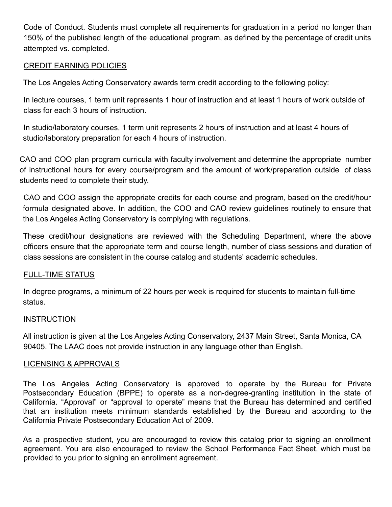Code of Conduct. Students must complete all requirements for graduation in a period no longer than 150% of the published length of the educational program, as defined by the percentage of credit units attempted vs. completed.

#### CREDIT EARNING POLICIES

The Los Angeles Acting Conservatory awards term credit according to the following policy:

In lecture courses, 1 term unit represents 1 hour of instruction and at least 1 hours of work outside of class for each 3 hours of instruction.

In studio/laboratory courses, 1 term unit represents 2 hours of instruction and at least 4 hours of studio/laboratory preparation for each 4 hours of instruction.

CAO and COO plan program curricula with faculty involvement and determine the appropriate number of instructional hours for every course/program and the amount of work/preparation outside of class students need to complete their study.

CAO and COO assign the appropriate credits for each course and program, based on the credit/hour formula designated above. In addition, the COO and CAO review guidelines routinely to ensure that the Los Angeles Acting Conservatory is complying with regulations.

These credit/hour designations are reviewed with the Scheduling Department, where the above officers ensure that the appropriate term and course length, number of class sessions and duration of class sessions are consistent in the course catalog and students' academic schedules.

#### FULL-TIME STATUS

In degree programs, a minimum of 22 hours per week is required for students to maintain full-time status.

#### **INSTRUCTION**

All instruction is given at the Los Angeles Acting Conservatory, 2437 Main Street, Santa Monica, CA 90405. The LAAC does not provide instruction in any language other than English.

#### LICENSING & APPROVALS

The Los Angeles Acting Conservatory is approved to operate by the Bureau for Private Postsecondary Education (BPPE) to operate as a non-degree-granting institution in the state of California. "Approval" or "approval to operate" means that the Bureau has determined and certified that an institution meets minimum standards established by the Bureau and according to the California Private Postsecondary Education Act of 2009.

As a prospective student, you are encouraged to review this catalog prior to signing an enrollment agreement. You are also encouraged to review the School Performance Fact Sheet, which must be provided to you prior to signing an enrollment agreement.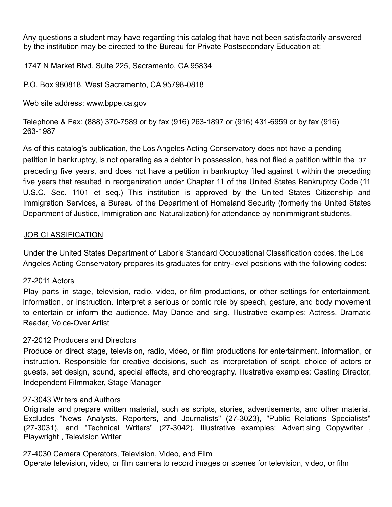Any questions a student may have regarding this catalog that have not been satisfactorily answered by the institution may be directed to the Bureau for Private Postsecondary Education at:

1747 N Market Blvd. Suite 225, Sacramento, CA 95834

P.O. Box 980818, West Sacramento, CA 95798-0818

Web site address: www.bppe.ca.gov

Telephone & Fax: (888) 370-7589 or by fax (916) 263-1897 or (916) 431-6959 or by fax (916) 263-1987

As of this catalog's publication, the Los Angeles Acting Conservatory does not have a pending petition in bankruptcy, is not operating as a debtor in possession, has not filed a petition within the 37 preceding five years, and does not have a petition in bankruptcy filed against it within the preceding five years that resulted in reorganization under Chapter 11 of the United States Bankruptcy Code (11 U.S.C. Sec. 1101 et seq.) This institution is approved by the United States Citizenship and Immigration Services, a Bureau of the Department of Homeland Security (formerly the United States Department of Justice, Immigration and Naturalization) for attendance by nonimmigrant students.

#### JOB CLASSIFICATION

Under the United States Department of Labor's Standard Occupational Classification codes, the Los Angeles Acting Conservatory prepares its graduates for entry-level positions with the following codes:

#### 27-2011 Actors

Play parts in stage, television, radio, video, or film productions, or other settings for entertainment, information, or instruction. Interpret a serious or comic role by speech, gesture, and body movement to entertain or inform the audience. May Dance and sing. Illustrative examples: Actress, Dramatic Reader, Voice-Over Artist

#### 27-2012 Producers and Directors

Produce or direct stage, television, radio, video, or film productions for entertainment, information, or instruction. Responsible for creative decisions, such as interpretation of script, choice of actors or guests, set design, sound, special effects, and choreography. Illustrative examples: Casting Director, Independent Filmmaker, Stage Manager

#### 27-3043 Writers and Authors

Originate and prepare written material, such as scripts, stories, advertisements, and other material. Excludes "News Analysts, Reporters, and Journalists" (27-3023), "Public Relations Specialists" (27-3031), and "Technical Writers" (27-3042). Illustrative examples: Advertising Copywriter , Playwright , Television Writer

27-4030 Camera Operators, Television, Video, and Film Operate television, video, or film camera to record images or scenes for television, video, or film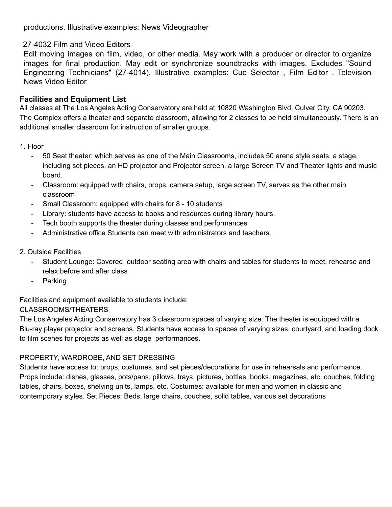productions. Illustrative examples: News Videographer

#### 27-4032 Film and Video Editors

Edit moving images on film, video, or other media. May work with a producer or director to organize images for final production. May edit or synchronize soundtracks with images. Excludes "Sound Engineering Technicians" (27-4014). Illustrative examples: Cue Selector , Film Editor , Television News Video Editor

#### **Facilities and Equipment List**

All classes at The Los Angeles Acting Conservatory are held at 10820 Washington Blvd, Culver City, CA 90203. The Complex offers a theater and separate classroom, allowing for 2 classes to be held simultaneously. There is an additional smaller classroom for instruction of smaller groups.

#### 1. Floor

- 50 Seat theater: which serves as one of the Main Classrooms, includes 50 arena style seats, a stage, including set pieces, an HD projector and Projector screen, a large Screen TV and Theater lights and music board.
- Classroom: equipped with chairs, props, camera setup, large screen TV, serves as the other main classroom
- Small Classroom: equipped with chairs for 8 10 students
- Library: students have access to books and resources during library hours.
- Tech booth supports the theater during classes and performances
- Administrative office Students can meet with administrators and teachers.
- 2. Outside Facilities
	- Student Lounge: Covered outdoor seating area with chairs and tables for students to meet, rehearse and relax before and after class
	- Parking

Facilities and equipment available to students include:

#### CLASSROOMS/THEATERS

The Los Angeles Acting Conservatory has 3 classroom spaces of varying size. The theater is equipped with a Blu-ray player projector and screens. Students have access to spaces of varying sizes, courtyard, and loading dock to film scenes for projects as well as stage performances.

#### PROPERTY, WARDROBE, AND SET DRESSING

Students have access to: props, costumes, and set pieces/decorations for use in rehearsals and performance. Props include: dishes, glasses, pots/pans, pillows, trays, pictures, bottles, books, magazines, etc. couches, folding tables, chairs, boxes, shelving units, lamps, etc. Costumes: available for men and women in classic and contemporary styles. Set Pieces: Beds, large chairs, couches, solid tables, various set decorations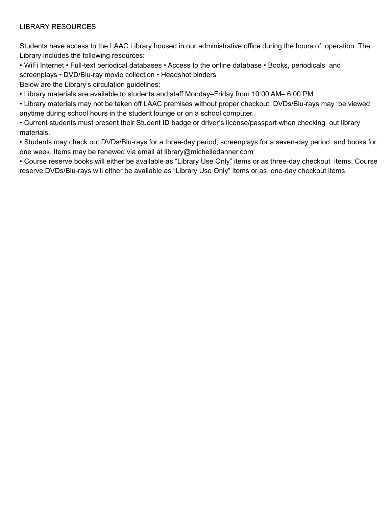#### LIBRARY RESOURCES

Students have access to the LAAC Library housed in our administrative office during the hours of operation. The Library includes the following resources:

• WiFi Internet • Full-text periodical databases • Access to the online database • Books, periodicals and screenplays • DVD/Blu-ray movie collection • Headshot binders

Below are the Library's circulation guidelines:

• Library materials are available to students and staff Monday–Friday from 10:00 AM– 6:00 PM

• Library materials may not be taken off LAAC premises without proper checkout. DVDs/Blu-rays may be viewed anytime during school hours in the student lounge or on a school computer.

• Current students must present their Student ID badge or driver's license/passport when checking out library materials.

• Students may check out DVDs/Blu-rays for a three-day period, screenplays for a seven-day period and books for one week. Items may be renewed via email at library@michelledanner.com

• Course reserve books will either be available as "Library Use Only" items or as three-day checkout items. Course reserve DVDs/Blu-rays will either be available as "Library Use Only" items or as one-day checkout items.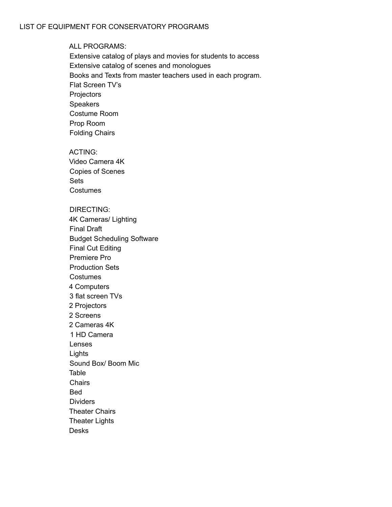#### ALL PROGRAMS:

Extensive catalog of plays and movies for students to access Extensive catalog of scenes and monologues Books and Texts from master teachers used in each program. Flat Screen TV's **Projectors** Speakers Costume Room Prop Room Folding Chairs

#### ACTING:

Video Camera 4K Copies of Scenes Sets **Costumes** 

#### DIRECTING:

4K Cameras/ Lighting Final Draft Budget Scheduling Software Final Cut Editing Premiere Pro Production Sets Costumes 4 Computers 3 flat screen TVs 2 Projectors 2 Screens 2 Cameras 4K 1 HD Camera Lenses Lights Sound Box/ Boom Mic Table **Chairs** Bed **Dividers** Theater Chairs Theater Lights

Desks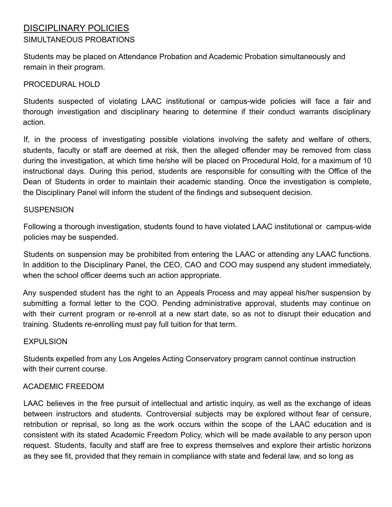#### DISCIPLINARY POLICIES SIMULTANEOUS PROBATIONS

Students may be placed on Attendance Probation and Academic Probation simultaneously and remain in their program.

#### PROCEDURAL HOLD

Students suspected of violating LAAC institutional or campus-wide policies will face a fair and thorough investigation and disciplinary hearing to determine if their conduct warrants disciplinary action.

If, in the process of investigating possible violations involving the safety and welfare of others, students, faculty or staff are deemed at risk, then the alleged offender may be removed from class during the investigation, at which time he/she will be placed on Procedural Hold, for a maximum of 10 instructional days. During this period, students are responsible for consulting with the Office of the Dean of Students in order to maintain their academic standing. Once the investigation is complete, the Disciplinary Panel will inform the student of the findings and subsequent decision.

#### **SUSPENSION**

Following a thorough investigation, students found to have violated LAAC institutional or campus-wide policies may be suspended.

Students on suspension may be prohibited from entering the LAAC or attending any LAAC functions. In addition to the Disciplinary Panel, the CEO, CAO and COO may suspend any student immediately, when the school officer deems such an action appropriate.

Any suspended student has the right to an Appeals Process and may appeal his/her suspension by submitting a formal letter to the COO. Pending administrative approval, students may continue on with their current program or re-enroll at a new start date, so as not to disrupt their education and training. Students re-enrolling must pay full tuition for that term.

#### **EXPULSION**

Students expelled from any Los Angeles Acting Conservatory program cannot continue instruction with their current course.

#### ACADEMIC FREEDOM

LAAC believes in the free pursuit of intellectual and artistic inquiry, as well as the exchange of ideas between instructors and students. Controversial subjects may be explored without fear of censure, retribution or reprisal, so long as the work occurs within the scope of the LAAC education and is consistent with its stated Academic Freedom Policy, which will be made available to any person upon request. Students, faculty and staff are free to express themselves and explore their artistic horizons as they see fit, provided that they remain in compliance with state and federal law, and so long as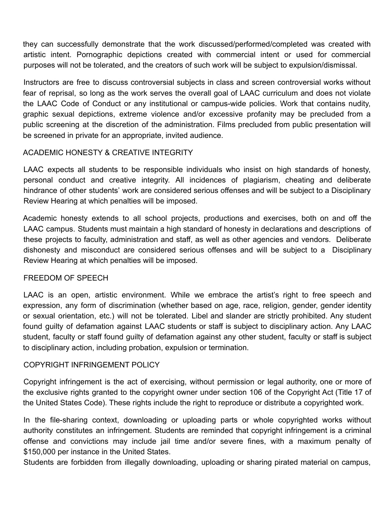they can successfully demonstrate that the work discussed/performed/completed was created with artistic intent. Pornographic depictions created with commercial intent or used for commercial purposes will not be tolerated, and the creators of such work will be subject to expulsion/dismissal.

Instructors are free to discuss controversial subjects in class and screen controversial works without fear of reprisal, so long as the work serves the overall goal of LAAC curriculum and does not violate the LAAC Code of Conduct or any institutional or campus-wide policies. Work that contains nudity, graphic sexual depictions, extreme violence and/or excessive profanity may be precluded from a public screening at the discretion of the administration. Films precluded from public presentation will be screened in private for an appropriate, invited audience.

#### ACADEMIC HONESTY & CREATIVE INTEGRITY

LAAC expects all students to be responsible individuals who insist on high standards of honesty, personal conduct and creative integrity. All incidences of plagiarism, cheating and deliberate hindrance of other students' work are considered serious offenses and will be subject to a Disciplinary Review Hearing at which penalties will be imposed.

Academic honesty extends to all school projects, productions and exercises, both on and off the LAAC campus. Students must maintain a high standard of honesty in declarations and descriptions of these projects to faculty, administration and staff, as well as other agencies and vendors. Deliberate dishonesty and misconduct are considered serious offenses and will be subject to a Disciplinary Review Hearing at which penalties will be imposed.

#### FREEDOM OF SPEECH

LAAC is an open, artistic environment. While we embrace the artist's right to free speech and expression, any form of discrimination (whether based on age, race, religion, gender, gender identity or sexual orientation, etc.) will not be tolerated. Libel and slander are strictly prohibited. Any student found guilty of defamation against LAAC students or staff is subject to disciplinary action. Any LAAC student, faculty or staff found guilty of defamation against any other student, faculty or staff is subject to disciplinary action, including probation, expulsion or termination.

#### COPYRIGHT INFRINGEMENT POLICY

Copyright infringement is the act of exercising, without permission or legal authority, one or more of the exclusive rights granted to the copyright owner under section 106 of the Copyright Act (Title 17 of the United States Code). These rights include the right to reproduce or distribute a copyrighted work.

In the file-sharing context, downloading or uploading parts or whole copyrighted works without authority constitutes an infringement. Students are reminded that copyright infringement is a criminal offense and convictions may include jail time and/or severe fines, with a maximum penalty of \$150,000 per instance in the United States.

Students are forbidden from illegally downloading, uploading or sharing pirated material on campus,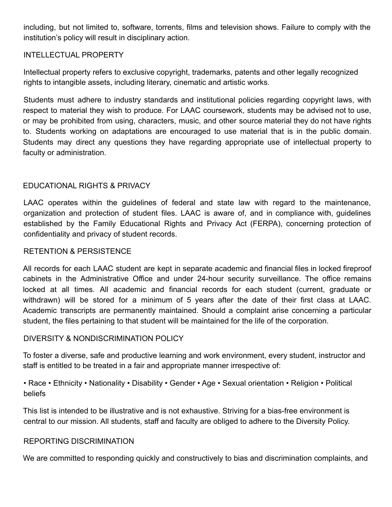including, but not limited to, software, torrents, films and television shows. Failure to comply with the institution's policy will result in disciplinary action.

#### INTELLECTUAL PROPERTY

Intellectual property refers to exclusive copyright, trademarks, patents and other legally recognized rights to intangible assets, including literary, cinematic and artistic works.

Students must adhere to industry standards and institutional policies regarding copyright laws, with respect to material they wish to produce. For LAAC coursework, students may be advised not to use, or may be prohibited from using, characters, music, and other source material they do not have rights to. Students working on adaptations are encouraged to use material that is in the public domain. Students may direct any questions they have regarding appropriate use of intellectual property to faculty or administration.

#### EDUCATIONAL RIGHTS & PRIVACY

LAAC operates within the guidelines of federal and state law with regard to the maintenance, organization and protection of student files. LAAC is aware of, and in compliance with, guidelines established by the Family Educational Rights and Privacy Act (FERPA), concerning protection of confidentiality and privacy of student records.

#### RETENTION & PERSISTENCE

All records for each LAAC student are kept in separate academic and financial files in locked fireproof cabinets in the Administrative Office and under 24-hour security surveillance. The office remains locked at all times. All academic and financial records for each student (current, graduate or withdrawn) will be stored for a minimum of 5 years after the date of their first class at LAAC. Academic transcripts are permanently maintained. Should a complaint arise concerning a particular student, the files pertaining to that student will be maintained for the life of the corporation.

#### DIVERSITY & NONDISCRIMINATION POLICY

To foster a diverse, safe and productive learning and work environment, every student, instructor and staff is entitled to be treated in a fair and appropriate manner irrespective of:

• Race • Ethnicity • Nationality • Disability • Gender • Age • Sexual orientation • Religion • Political beliefs

This list is intended to be illustrative and is not exhaustive. Striving for a bias-free environment is central to our mission. All students, staff and faculty are obliged to adhere to the Diversity Policy.

#### REPORTING DISCRIMINATION

We are committed to responding quickly and constructively to bias and discrimination complaints, and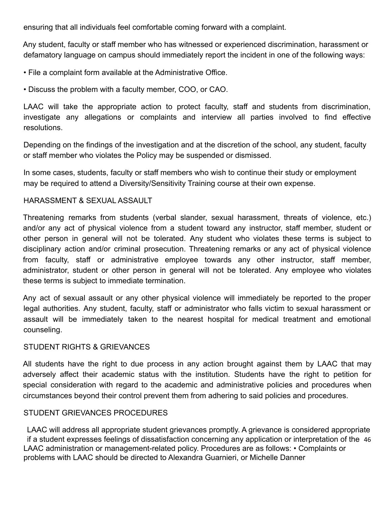ensuring that all individuals feel comfortable coming forward with a complaint.

Any student, faculty or staff member who has witnessed or experienced discrimination, harassment or defamatory language on campus should immediately report the incident in one of the following ways:

• File a complaint form available at the Administrative Office.

• Discuss the problem with a faculty member, COO, or CAO.

LAAC will take the appropriate action to protect faculty, staff and students from discrimination, investigate any allegations or complaints and interview all parties involved to find effective resolutions.

Depending on the findings of the investigation and at the discretion of the school, any student, faculty or staff member who violates the Policy may be suspended or dismissed.

In some cases, students, faculty or staff members who wish to continue their study or employment may be required to attend a Diversity/Sensitivity Training course at their own expense.

#### HARASSMENT & SEXUAL ASSAULT

Threatening remarks from students (verbal slander, sexual harassment, threats of violence, etc.) and/or any act of physical violence from a student toward any instructor, staff member, student or other person in general will not be tolerated. Any student who violates these terms is subject to disciplinary action and/or criminal prosecution. Threatening remarks or any act of physical violence from faculty, staff or administrative employee towards any other instructor, staff member, administrator, student or other person in general will not be tolerated. Any employee who violates these terms is subject to immediate termination.

Any act of sexual assault or any other physical violence will immediately be reported to the proper legal authorities. Any student, faculty, staff or administrator who falls victim to sexual harassment or assault will be immediately taken to the nearest hospital for medical treatment and emotional counseling.

#### STUDENT RIGHTS & GRIEVANCES

All students have the right to due process in any action brought against them by LAAC that may adversely affect their academic status with the institution. Students have the right to petition for special consideration with regard to the academic and administrative policies and procedures when circumstances beyond their control prevent them from adhering to said policies and procedures.

#### STUDENT GRIEVANCES PROCEDURES

LAAC will address all appropriate student grievances promptly. A grievance is considered appropriate if a student expresses feelings of dissatisfaction concerning any application or interpretation of the 46 LAAC administration or management-related policy. Procedures are as follows: • Complaints or problems with LAAC should be directed to Alexandra Guarnieri, or Michelle Danner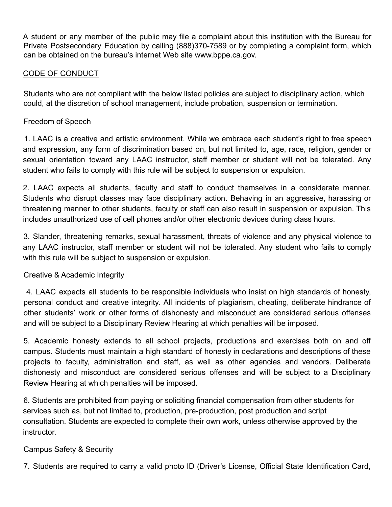A student or any member of the public may file a complaint about this institution with the Bureau for Private Postsecondary Education by calling (888)370-7589 or by completing a complaint form, which can be obtained on the bureau's internet Web site www.bppe.ca.gov.

#### CODE OF CONDUCT

Students who are not compliant with the below listed policies are subject to disciplinary action, which could, at the discretion of school management, include probation, suspension or termination.

#### Freedom of Speech

1. LAAC is a creative and artistic environment. While we embrace each student's right to free speech and expression, any form of discrimination based on, but not limited to, age, race, religion, gender or sexual orientation toward any LAAC instructor, staff member or student will not be tolerated. Any student who fails to comply with this rule will be subject to suspension or expulsion.

2. LAAC expects all students, faculty and staff to conduct themselves in a considerate manner. Students who disrupt classes may face disciplinary action. Behaving in an aggressive, harassing or threatening manner to other students, faculty or staff can also result in suspension or expulsion. This includes unauthorized use of cell phones and/or other electronic devices during class hours.

3. Slander, threatening remarks, sexual harassment, threats of violence and any physical violence to any LAAC instructor, staff member or student will not be tolerated. Any student who fails to comply with this rule will be subject to suspension or expulsion.

#### Creative & Academic Integrity

4. LAAC expects all students to be responsible individuals who insist on high standards of honesty, personal conduct and creative integrity. All incidents of plagiarism, cheating, deliberate hindrance of other students' work or other forms of dishonesty and misconduct are considered serious offenses and will be subject to a Disciplinary Review Hearing at which penalties will be imposed.

5. Academic honesty extends to all school projects, productions and exercises both on and off campus. Students must maintain a high standard of honesty in declarations and descriptions of these projects to faculty, administration and staff, as well as other agencies and vendors. Deliberate dishonesty and misconduct are considered serious offenses and will be subject to a Disciplinary Review Hearing at which penalties will be imposed.

6. Students are prohibited from paying or soliciting financial compensation from other students for services such as, but not limited to, production, pre-production, post production and script consultation. Students are expected to complete their own work, unless otherwise approved by the instructor.

#### Campus Safety & Security

7. Students are required to carry a valid photo ID (Driver's License, Official State Identification Card,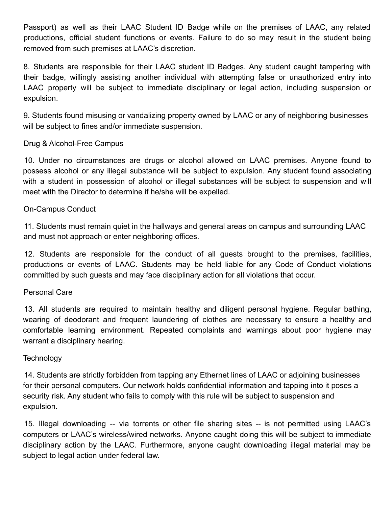Passport) as well as their LAAC Student ID Badge while on the premises of LAAC, any related productions, official student functions or events. Failure to do so may result in the student being removed from such premises at LAAC's discretion.

8. Students are responsible for their LAAC student ID Badges. Any student caught tampering with their badge, willingly assisting another individual with attempting false or unauthorized entry into LAAC property will be subject to immediate disciplinary or legal action, including suspension or expulsion.

9. Students found misusing or vandalizing property owned by LAAC or any of neighboring businesses will be subject to fines and/or immediate suspension.

#### Drug & Alcohol-Free Campus

10. Under no circumstances are drugs or alcohol allowed on LAAC premises. Anyone found to possess alcohol or any illegal substance will be subject to expulsion. Any student found associating with a student in possession of alcohol or illegal substances will be subject to suspension and will meet with the Director to determine if he/she will be expelled.

#### On-Campus Conduct

11. Students must remain quiet in the hallways and general areas on campus and surrounding LAAC and must not approach or enter neighboring offices.

12. Students are responsible for the conduct of all guests brought to the premises, facilities, productions or events of LAAC. Students may be held liable for any Code of Conduct violations committed by such guests and may face disciplinary action for all violations that occur.

#### Personal Care

13. All students are required to maintain healthy and diligent personal hygiene. Regular bathing, wearing of deodorant and frequent laundering of clothes are necessary to ensure a healthy and comfortable learning environment. Repeated complaints and warnings about poor hygiene may warrant a disciplinary hearing.

#### **Technology**

14. Students are strictly forbidden from tapping any Ethernet lines of LAAC or adjoining businesses for their personal computers. Our network holds confidential information and tapping into it poses a security risk. Any student who fails to comply with this rule will be subject to suspension and expulsion.

15. Illegal downloading -- via torrents or other file sharing sites -- is not permitted using LAAC's computers or LAAC's wireless/wired networks. Anyone caught doing this will be subject to immediate disciplinary action by the LAAC. Furthermore, anyone caught downloading illegal material may be subject to legal action under federal law.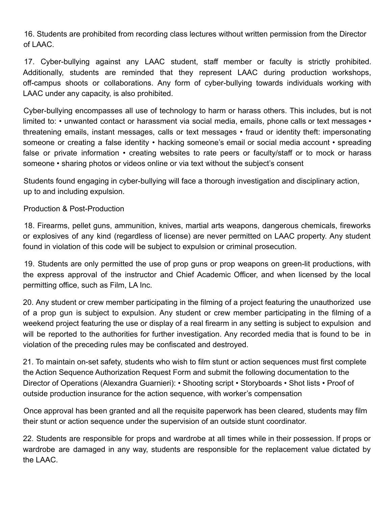16. Students are prohibited from recording class lectures without written permission from the Director of LAAC.

17. Cyber-bullying against any LAAC student, staff member or faculty is strictly prohibited. Additionally, students are reminded that they represent LAAC during production workshops, off-campus shoots or collaborations. Any form of cyber-bullying towards individuals working with LAAC under any capacity, is also prohibited.

Cyber-bullying encompasses all use of technology to harm or harass others. This includes, but is not limited to: • unwanted contact or harassment via social media, emails, phone calls or text messages • threatening emails, instant messages, calls or text messages • fraud or identity theft: impersonating someone or creating a false identity • hacking someone's email or social media account • spreading false or private information • creating websites to rate peers or faculty/staff or to mock or harass someone • sharing photos or videos online or via text without the subject's consent

Students found engaging in cyber-bullying will face a thorough investigation and disciplinary action, up to and including expulsion.

Production & Post-Production

18. Firearms, pellet guns, ammunition, knives, martial arts weapons, dangerous chemicals, fireworks or explosives of any kind (regardless of license) are never permitted on LAAC property. Any student found in violation of this code will be subject to expulsion or criminal prosecution.

19. Students are only permitted the use of prop guns or prop weapons on green-lit productions, with the express approval of the instructor and Chief Academic Officer, and when licensed by the local permitting office, such as Film, LA Inc.

20. Any student or crew member participating in the filming of a project featuring the unauthorized use of a prop gun is subject to expulsion. Any student or crew member participating in the filming of a weekend project featuring the use or display of a real firearm in any setting is subject to expulsion and will be reported to the authorities for further investigation. Any recorded media that is found to be in violation of the preceding rules may be confiscated and destroyed.

21. To maintain on-set safety, students who wish to film stunt or action sequences must first complete the Action Sequence Authorization Request Form and submit the following documentation to the Director of Operations (Alexandra Guarnieri): • Shooting script • Storyboards • Shot lists • Proof of outside production insurance for the action sequence, with worker's compensation

Once approval has been granted and all the requisite paperwork has been cleared, students may film their stunt or action sequence under the supervision of an outside stunt coordinator.

22. Students are responsible for props and wardrobe at all times while in their possession. If props or wardrobe are damaged in any way, students are responsible for the replacement value dictated by the LAAC.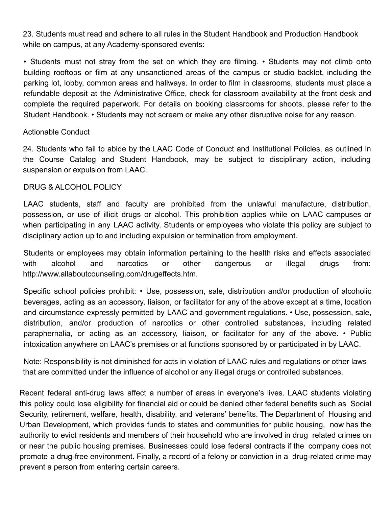23. Students must read and adhere to all rules in the Student Handbook and Production Handbook while on campus, at any Academy-sponsored events:

• Students must not stray from the set on which they are filming. • Students may not climb onto building rooftops or film at any unsanctioned areas of the campus or studio backlot, including the parking lot, lobby, common areas and hallways. In order to film in classrooms, students must place a refundable deposit at the Administrative Office, check for classroom availability at the front desk and complete the required paperwork. For details on booking classrooms for shoots, please refer to the Student Handbook. • Students may not scream or make any other disruptive noise for any reason.

#### Actionable Conduct

24. Students who fail to abide by the LAAC Code of Conduct and Institutional Policies, as outlined in the Course Catalog and Student Handbook, may be subject to disciplinary action, including suspension or expulsion from LAAC.

#### DRUG & ALCOHOL POLICY

LAAC students, staff and faculty are prohibited from the unlawful manufacture, distribution, possession, or use of illicit drugs or alcohol. This prohibition applies while on LAAC campuses or when participating in any LAAC activity. Students or employees who violate this policy are subject to disciplinary action up to and including expulsion or termination from employment.

Students or employees may obtain information pertaining to the health risks and effects associated with alcohol and narcotics or other dangerous or illegal drugs from: http://www.allaboutcounseling.com/drugeffects.htm.

Specific school policies prohibit: • Use, possession, sale, distribution and/or production of alcoholic beverages, acting as an accessory, liaison, or facilitator for any of the above except at a time, location and circumstance expressly permitted by LAAC and government regulations. • Use, possession, sale, distribution, and/or production of narcotics or other controlled substances, including related paraphernalia, or acting as an accessory, liaison, or facilitator for any of the above. • Public intoxication anywhere on LAAC's premises or at functions sponsored by or participated in by LAAC.

Note: Responsibility is not diminished for acts in violation of LAAC rules and regulations or other laws that are committed under the influence of alcohol or any illegal drugs or controlled substances.

Recent federal anti-drug laws affect a number of areas in everyone's lives. LAAC students violating this policy could lose eligibility for financial aid or could be denied other federal benefits such as Social Security, retirement, welfare, health, disability, and veterans' benefits. The Department of Housing and Urban Development, which provides funds to states and communities for public housing, now has the authority to evict residents and members of their household who are involved in drug related crimes on or near the public housing premises. Businesses could lose federal contracts if the company does not promote a drug-free environment. Finally, a record of a felony or conviction in a drug-related crime may prevent a person from entering certain careers.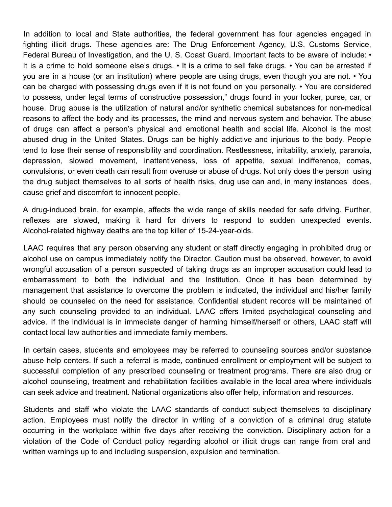In addition to local and State authorities, the federal government has four agencies engaged in fighting illicit drugs. These agencies are: The Drug Enforcement Agency, U.S. Customs Service, Federal Bureau of Investigation, and the U. S. Coast Guard. Important facts to be aware of include: • It is a crime to hold someone else's drugs. • It is a crime to sell fake drugs. • You can be arrested if you are in a house (or an institution) where people are using drugs, even though you are not. • You can be charged with possessing drugs even if it is not found on you personally. • You are considered to possess, under legal terms of constructive possession," drugs found in your locker, purse, car, or house. Drug abuse is the utilization of natural and/or synthetic chemical substances for non-medical reasons to affect the body and its processes, the mind and nervous system and behavior. The abuse of drugs can affect a person's physical and emotional health and social life. Alcohol is the most abused drug in the United States. Drugs can be highly addictive and injurious to the body. People tend to lose their sense of responsibility and coordination. Restlessness, irritability, anxiety, paranoia, depression, slowed movement, inattentiveness, loss of appetite, sexual indifference, comas, convulsions, or even death can result from overuse or abuse of drugs. Not only does the person using the drug subject themselves to all sorts of health risks, drug use can and, in many instances does, cause grief and discomfort to innocent people.

A drug-induced brain, for example, affects the wide range of skills needed for safe driving. Further, reflexes are slowed, making it hard for drivers to respond to sudden unexpected events. Alcohol-related highway deaths are the top killer of 15-24-year-olds.

LAAC requires that any person observing any student or staff directly engaging in prohibited drug or alcohol use on campus immediately notify the Director. Caution must be observed, however, to avoid wrongful accusation of a person suspected of taking drugs as an improper accusation could lead to embarrassment to both the individual and the Institution. Once it has been determined by management that assistance to overcome the problem is indicated, the individual and his/her family should be counseled on the need for assistance. Confidential student records will be maintained of any such counseling provided to an individual. LAAC offers limited psychological counseling and advice. If the individual is in immediate danger of harming himself/herself or others, LAAC staff will contact local law authorities and immediate family members.

In certain cases, students and employees may be referred to counseling sources and/or substance abuse help centers. If such a referral is made, continued enrollment or employment will be subject to successful completion of any prescribed counseling or treatment programs. There are also drug or alcohol counseling, treatment and rehabilitation facilities available in the local area where individuals can seek advice and treatment. National organizations also offer help, information and resources.

Students and staff who violate the LAAC standards of conduct subject themselves to disciplinary action. Employees must notify the director in writing of a conviction of a criminal drug statute occurring in the workplace within five days after receiving the conviction. Disciplinary action for a violation of the Code of Conduct policy regarding alcohol or illicit drugs can range from oral and written warnings up to and including suspension, expulsion and termination.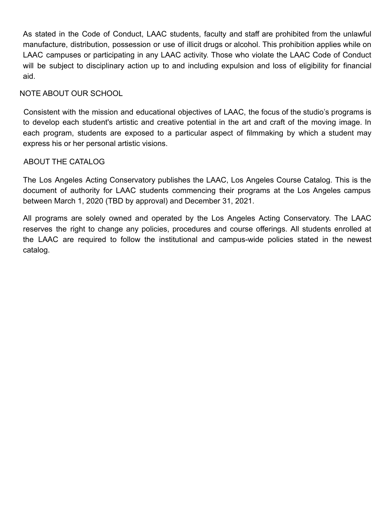As stated in the Code of Conduct, LAAC students, faculty and staff are prohibited from the unlawful manufacture, distribution, possession or use of illicit drugs or alcohol. This prohibition applies while on LAAC campuses or participating in any LAAC activity. Those who violate the LAAC Code of Conduct will be subject to disciplinary action up to and including expulsion and loss of eligibility for financial aid.

#### NOTE ABOUT OUR SCHOOL

Consistent with the mission and educational objectives of LAAC, the focus of the studio's programs is to develop each student's artistic and creative potential in the art and craft of the moving image. In each program, students are exposed to a particular aspect of filmmaking by which a student may express his or her personal artistic visions.

#### ABOUT THE CATALOG

The Los Angeles Acting Conservatory publishes the LAAC, Los Angeles Course Catalog. This is the document of authority for LAAC students commencing their programs at the Los Angeles campus between March 1, 2020 (TBD by approval) and December 31, 2021.

All programs are solely owned and operated by the Los Angeles Acting Conservatory. The LAAC reserves the right to change any policies, procedures and course offerings. All students enrolled at the LAAC are required to follow the institutional and campus-wide policies stated in the newest catalog.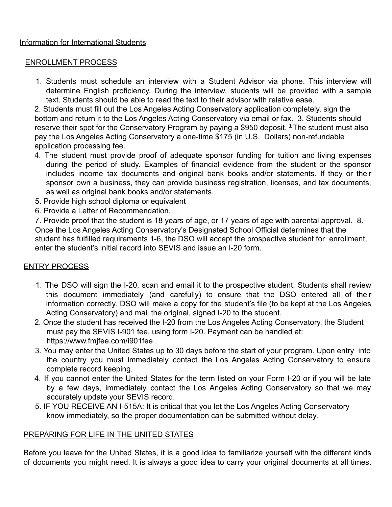#### Information for International Students

#### ENROLLMENT PROCESS

1. Students must schedule an interview with a Student Advisor via phone. This interview will determine English proficiency. During the interview, students will be provided with a sample text. Students should be able to read the text to their advisor with relative ease.

2. Students must fill out the Los Angeles Acting Conservatory application completely, sign the bottom and return it to the Los Angeles Acting Conservatory via email or fax. 3. Students should reserve their spot for the Conservatory Program by paying a \$950 deposit.  $1$  The student must also pay the Los Angeles Acting Conservatory a one-time \$175 (in U.S. Dollars) non-refundable application processing fee.

- 4. The student must provide proof of adequate sponsor funding for tuition and living expenses during the period of study. Examples of financial evidence from the student or the sponsor includes income tax documents and original bank books and/or statements. If they or their sponsor own a business, they can provide business registration, licenses, and tax documents, as well as original bank books and/or statements.
- 5. Provide high school diploma or equivalent
- 6. Provide a Letter of Recommendation.

7. Provide proof that the student is 18 years of age, or 17 years of age with parental approval. 8. Once the Los Angeles Acting Conservatory's Designated School Official determines that the student has fulfilled requirements 1-6, the DSO will accept the prospective student for enrollment, enter the student's initial record into SEVIS and issue an I-20 form.

#### ENTRY PROCESS

- 1. The DSO will sign the I-20, scan and email it to the prospective student. Students shall review this document immediately (and carefully) to ensure that the DSO entered all of their information correctly. DSO will make a copy for the student's file (to be kept at the Los Angeles Acting Conservatory) and mail the original, signed I-20 to the student.
- 2. Once the student has received the I-20 from the Los Angeles Acting Conservatory, the Student must pay the SEVIS I-901 fee, using form I-20. Payment can be handled at: https://www.fmjfee.com/i901fee .
- 3. You may enter the United States up to 30 days before the start of your program. Upon entry into the country you must immediately contact the Los Angeles Acting Conservatory to ensure complete record keeping.
- 4. If you cannot enter the United States for the term listed on your Form I-20 or if you will be late by a few days, immediately contact the Los Angeles Acting Conservatory so that we may accurately update your SEVIS record.
- 5. IF YOU RECEIVE AN I-515A: It is critical that you let the Los Angeles Acting Conservatory know immediately, so the proper documentation can be submitted without delay.

#### PREPARING FOR LIFE IN THE UNITED STATES

Before you leave for the United States, it is a good idea to familiarize yourself with the different kinds of documents you might need. It is always a good idea to carry your original documents at all times.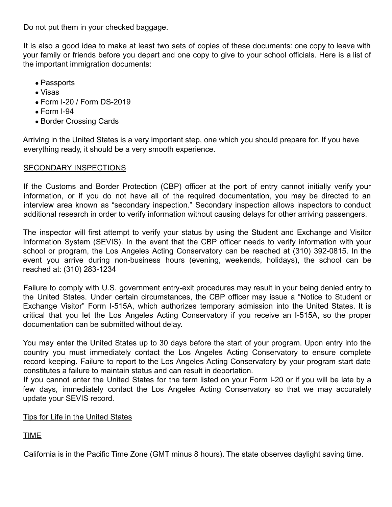Do not put them in your checked baggage.

It is also a good idea to make at least two sets of copies of these documents: one copy to leave with your family or friends before you depart and one copy to give to your school officials. Here is a list of the important immigration documents:

- Passports
- Visas
- Form I-20 / Form DS-2019
- $\bullet$  Form I-94
- Border Crossing Cards

Arriving in the United States is a very important step, one which you should prepare for. If you have everything ready, it should be a very smooth experience.

#### SECONDARY INSPECTIONS

If the Customs and Border Protection (CBP) officer at the port of entry cannot initially verify your information, or if you do not have all of the required documentation, you may be directed to an interview area known as "secondary inspection." Secondary inspection allows inspectors to conduct additional research in order to verify information without causing delays for other arriving passengers.

The inspector will first attempt to verify your status by using the Student and Exchange and Visitor Information System (SEVIS). In the event that the CBP officer needs to verify information with your school or program, the Los Angeles Acting Conservatory can be reached at (310) 392-0815. In the event you arrive during non-business hours (evening, weekends, holidays), the school can be reached at: (310) 283-1234

Failure to comply with U.S. government entry-exit procedures may result in your being denied entry to the United States. Under certain circumstances, the CBP officer may issue a "Notice to Student or Exchange Visitor" Form I-515A, which authorizes temporary admission into the United States. It is critical that you let the Los Angeles Acting Conservatory if you receive an I-515A, so the proper documentation can be submitted without delay.

You may enter the United States up to 30 days before the start of your program. Upon entry into the country you must immediately contact the Los Angeles Acting Conservatory to ensure complete record keeping. Failure to report to the Los Angeles Acting Conservatory by your program start date constitutes a failure to maintain status and can result in deportation.

If you cannot enter the United States for the term listed on your Form I-20 or if you will be late by a few days, immediately contact the Los Angeles Acting Conservatory so that we may accurately update your SEVIS record.

#### Tips for Life in the United States

#### TIME

California is in the Pacific Time Zone (GMT minus 8 hours). The state observes daylight saving time.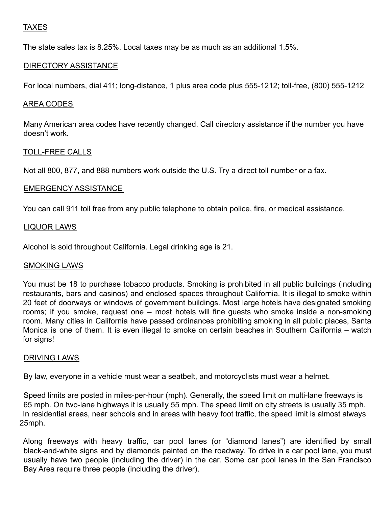#### TAXES

The state sales tax is 8.25%. Local taxes may be as much as an additional 1.5%.

#### DIRECTORY ASSISTANCE

For local numbers, dial 411; long-distance, 1 plus area code plus 555-1212; toll-free, (800) 555-1212

#### AREA CODES

Many American area codes have recently changed. Call directory assistance if the number you have doesn't work.

#### TOLL-FREE CALLS

Not all 800, 877, and 888 numbers work outside the U.S. Try a direct toll number or a fax.

#### EMERGENCY ASSISTANCE

You can call 911 toll free from any public telephone to obtain police, fire, or medical assistance.

#### LIQUOR LAWS

Alcohol is sold throughout California. Legal drinking age is 21.

#### SMOKING LAWS

You must be 18 to purchase tobacco products. Smoking is prohibited in all public buildings (including restaurants, bars and casinos) and enclosed spaces throughout California. It is illegal to smoke within 20 feet of doorways or windows of government buildings. Most large hotels have designated smoking rooms; if you smoke, request one – most hotels will fine guests who smoke inside a non-smoking room. Many cities in California have passed ordinances prohibiting smoking in all public places, Santa Monica is one of them. It is even illegal to smoke on certain beaches in Southern California – watch for signs!

#### DRIVING LAWS

By law, everyone in a vehicle must wear a seatbelt, and motorcyclists must wear a helmet.

Speed limits are posted in miles-per-hour (mph). Generally, the speed limit on multi-lane freeways is 65 mph. On two-lane highways it is usually 55 mph. The speed limit on city streets is usually 35 mph. In residential areas, near schools and in areas with heavy foot traffic, the speed limit is almost always 25mph.

Along freeways with heavy traffic, car pool lanes (or "diamond lanes") are identified by small black-and-white signs and by diamonds painted on the roadway. To drive in a car pool lane, you must usually have two people (including the driver) in the car. Some car pool lanes in the San Francisco Bay Area require three people (including the driver).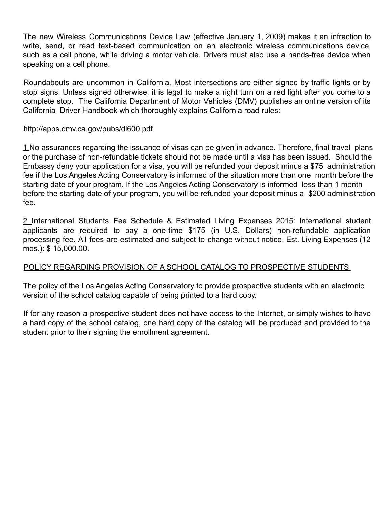The new Wireless Communications Device Law (effective January 1, 2009) makes it an infraction to write, send, or read text-based communication on an electronic wireless communications device, such as a cell phone, while driving a motor vehicle. Drivers must also use a hands-free device when speaking on a cell phone.

Roundabouts are uncommon in California. Most intersections are either signed by traffic lights or by stop signs. Unless signed otherwise, it is legal to make a right turn on a red light after you come to a complete stop. The California Department of Motor Vehicles (DMV) publishes an online version of its California Driver Handbook which thoroughly explains California road rules:

#### http://apps.dmv.ca.gov/pubs/dl600.pdf

1 No assurances regarding the issuance of visas can be given in advance. Therefore, final travel plans or the purchase of non-refundable tickets should not be made until a visa has been issued. Should the Embassy deny your application for a visa, you will be refunded your deposit minus a \$75 administration fee if the Los Angeles Acting Conservatory is informed of the situation more than one month before the starting date of your program. If the Los Angeles Acting Conservatory is informed less than 1 month before the starting date of your program, you will be refunded your deposit minus a \$200 administration fee.

2 International Students Fee Schedule & Estimated Living Expenses 2015: International student applicants are required to pay a one-time \$175 (in U.S. Dollars) non-refundable application processing fee. All fees are estimated and subject to change without notice. Est. Living Expenses (12 mos.): \$ 15,000.00.

#### POLICY REGARDING PROVISION OF A SCHOOL CATALOG TO PROSPECTIVE STUDENTS

The policy of the Los Angeles Acting Conservatory to provide prospective students with an electronic version of the school catalog capable of being printed to a hard copy.

If for any reason a prospective student does not have access to the Internet, or simply wishes to have a hard copy of the school catalog, one hard copy of the catalog will be produced and provided to the student prior to their signing the enrollment agreement.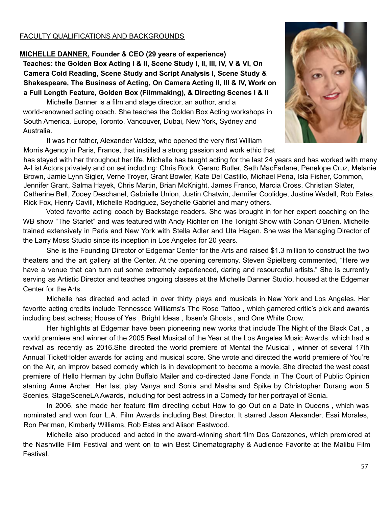#### FACULTY QUALIFICATIONS AND BACKGROUNDS

#### **MICHELLE DANNER, Founder & CEO (29 years of experience) Teaches: the Golden Box Acting I & II, Scene Study I, II, III, IV, V & VI, On Camera Cold Reading, Scene Study and Script Analysis I, Scene Study & Shakespeare, The Business of Acting, On Camera Acting II, III & IV, Work on a Full Length Feature, Golden Box (Filmmaking), & Directing Scenes I & II**

Michelle Danner is a film and stage director, an author, and a world-renowned acting coach. She teaches the Golden Box Acting workshops in South America, Europe, Toronto, Vancouver, Dubai, New York, Sydney and Australia.

It was her father, Alexander Valdez, who opened the very first William Morris Agency in Paris, France, that instilled a strong passion and work ethic that



has stayed with her throughout her life. Michelle has taught acting for the last 24 years and has worked with many A-List Actors privately and on set including: Chris Rock, Gerard Butler, Seth MacFarlane, Penelope Cruz, Melanie Brown, Jamie Lynn Sigler, Verne Troyer, Grant Bowler, Kate Del Castillo, Michael Pena, Isla Fisher, Common, Jennifer Grant, Salma Hayek, Chris Martin, Brian McKnight, James Franco, Marcia Cross, Christian Slater, Catherine Bell, Zooey Deschanel, Gabrielle Union, Justin Chatwin, Jennifer Coolidge, Justine Wadell, Rob Estes, Rick Fox, Henry Cavill, Michelle Rodriguez, Seychelle Gabriel and many others.

Voted favorite acting coach by Backstage readers. She was brought in for her expert coaching on the WB show "The Starlet" and was featured with Andy Richter on The Tonight Show with Conan O'Brien. Michelle trained extensively in Paris and New York with Stella Adler and Uta Hagen. She was the Managing Director of the Larry Moss Studio since its inception in Los Angeles for 20 years.

She is the Founding Director of Edgemar Center for the Arts and raised \$1.3 million to construct the two theaters and the art gallery at the Center. At the opening ceremony, Steven Spielberg commented, "Here we have a venue that can turn out some extremely experienced, daring and resourceful artists." She is currently serving as Artistic Director and teaches ongoing classes at the Michelle Danner Studio, housed at the Edgemar Center for the Arts.

Michelle has directed and acted in over thirty plays and musicals in New York and Los Angeles. Her favorite acting credits include Tennessee Williams's The Rose Tattoo , which garnered critic's pick and awards including best actress; House of Yes , Bright Ideas , Ibsen's Ghosts , and One White Crow.

Her highlights at Edgemar have been pioneering new works that include The Night of the Black Cat , a world premiere and winner of the 2005 Best Musical of the Year at the Los Angeles Music Awards, which had a revival as recently as 2016.She directed the world premiere of Mental the Musical , winner of several 17th Annual TicketHolder awards for acting and musical score. She wrote and directed the world premiere of You're on the Air, an improv based comedy which is in development to become a movie. She directed the west coast premiere of Hello Herman by John Buffalo Mailer and co-directed Jane Fonda in The Court of Public Opinion starring Anne Archer. Her last play Vanya and Sonia and Masha and Spike by Christopher Durang won 5 Scenies, StageSceneLA Awards, including for best actress in a Comedy for her portrayal of Sonia.

In 2006, she made her feature film directing debut How to go Out on a Date in Queens , which was nominated and won four L.A. Film Awards including Best Director. It starred Jason Alexander, Esai Morales, Ron Perlman, Kimberly Williams, Rob Estes and Alison Eastwood.

Michelle also produced and acted in the award-winning short film Dos Corazones, which premiered at the Nashville Film Festival and went on to win Best Cinematography & Audience Favorite at the Malibu Film Festival.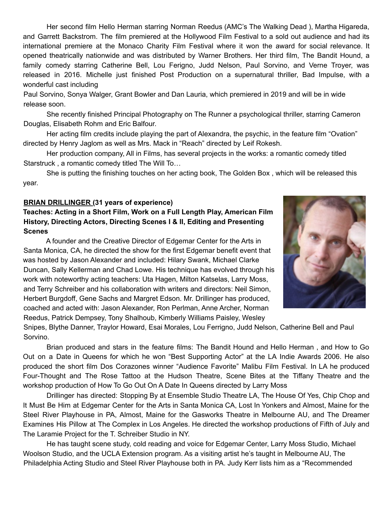Her second film Hello Herman starring Norman Reedus (AMC's The Walking Dead ), Martha Higareda, and Garrett Backstrom. The film premiered at the Hollywood Film Festival to a sold out audience and had its international premiere at the Monaco Charity Film Festival where it won the award for social relevance. It opened theatrically nationwide and was distributed by Warner Brothers. Her third film, The Bandit Hound, a family comedy starring Catherine Bell, Lou Ferigno, Judd Nelson, Paul Sorvino, and Verne Troyer, was released in 2016. Michelle just finished Post Production on a supernatural thriller, Bad Impulse, with a wonderful cast including

Paul Sorvino, Sonya Walger, Grant Bowler and Dan Lauria, which premiered in 2019 and will be in wide release soon.

She recently finished Principal Photography on The Runner a psychological thriller, starring Cameron Douglas, Elisabeth Rohm and Eric Balfour.

Her acting film credits include playing the part of Alexandra, the psychic, in the feature film "Ovation" directed by Henry Jaglom as well as Mrs. Mack in "Reach" directed by Leif Rokesh.

Her production company, All in Films, has several projects in the works: a romantic comedy titled Starstruck , a romantic comedy titled The Will To…

She is putting the finishing touches on her acting book, The Golden Box , which will be released this year.

#### **BRIAN DRILLINGER (31 years of experience)**

**Teaches: Acting in a Short Film, Work on a Full Length Play, American Film History, Directing Actors, Directing Scenes I & II, Editing and Presenting Scenes**

A founder and the Creative Director of Edgemar Center for the Arts in Santa Monica, CA, he directed the show for the first Edgemar benefit event that was hosted by Jason Alexander and included: Hilary Swank, Michael Clarke Duncan, Sally Kellerman and Chad Lowe. His technique has evolved through his work with noteworthy acting teachers: Uta Hagen, Milton Katselas, Larry Moss, and Terry Schreiber and his collaboration with writers and directors: Neil Simon, Herbert Burgdoff, Gene Sachs and Margret Edson. Mr. Drillinger has produced, coached and acted with: Jason Alexander, Ron Perlman, Anne Archer, Norman Reedus, Patrick Dempsey, Tony Shalhoub, Kimberly Williams Paisley, Wesley



Snipes, Blythe Danner, Traylor Howard, Esai Morales, Lou Ferrigno, Judd Nelson, Catherine Bell and Paul Sorvino.

Brian produced and stars in the feature films: The Bandit Hound and Hello Herman , and How to Go Out on a Date in Queens for which he won "Best Supporting Actor" at the LA Indie Awards 2006. He also produced the short film Dos Corazones winner "Audience Favorite" Malibu Film Festival. In LA he produced Four-Thought and The Rose Tattoo at the Hudson Theatre, Scene Bites at the Tiffany Theatre and the workshop production of How To Go Out On A Date In Queens directed by Larry Moss

Drillinger has directed: Stopping By at Ensemble Studio Theatre LA, The House Of Yes, Chip Chop and It Must Be Him at Edgemar Center for the Arts in Santa Monica CA, Lost In Yonkers and Almost, Maine for the Steel River Playhouse in PA, Almost, Maine for the Gasworks Theatre in Melbourne AU, and The Dreamer Examines His Pillow at The Complex in Los Angeles. He directed the workshop productions of Fifth of July and The Laramie Project for the T. Schreiber Studio in NY.

He has taught scene study, cold reading and voice for Edgemar Center, Larry Moss Studio, Michael Woolson Studio, and the UCLA Extension program. As a visiting artist he's taught in Melbourne AU, The Philadelphia Acting Studio and Steel River Playhouse both in PA. Judy Kerr lists him as a "Recommended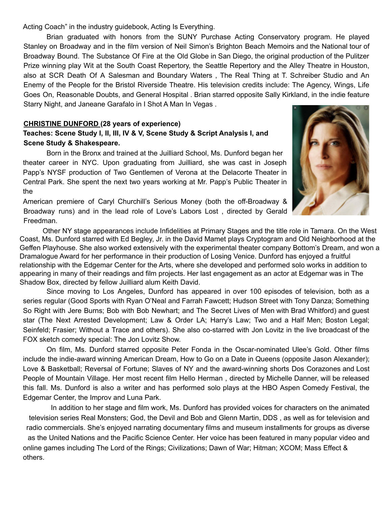Acting Coach" in the industry guidebook, Acting Is Everything.

Brian graduated with honors from the SUNY Purchase Acting Conservatory program. He played Stanley on Broadway and in the film version of Neil Simon's Brighton Beach Memoirs and the National tour of Broadway Bound. The Substance Of Fire at the Old Globe in San Diego, the original production of the Pulitzer Prize winning play Wit at the South Coast Repertory, the Seattle Repertory and the Alley Theatre in Houston, also at SCR Death Of A Salesman and Boundary Waters , The Real Thing at T. Schreiber Studio and An Enemy of the People for the Bristol Riverside Theatre. His television credits include: The Agency, Wings, Life Goes On, Reasonable Doubts, and General Hospital . Brian starred opposite Sally Kirkland, in the indie feature Starry Night, and Janeane Garafalo in I Shot A Man In Vegas .

#### **CHRISTINE DUNFORD (28 years of experience)**

#### **Teaches: Scene Study I, II, III, IV & V, Scene Study & Script Analysis I, and Scene Study & Shakespeare.**

Born in the Bronx and trained at the Juilliard School, Ms. Dunford began her theater career in NYC. Upon graduating from Juilliard, she was cast in Joseph Papp's NYSF production of Two Gentlemen of Verona at the Delacorte Theater in Central Park. She spent the next two years working at Mr. Papp's Public Theater in the

American premiere of Caryl Churchill's Serious Money (both the off-Broadway & Broadway runs) and in the lead role of Love's Labors Lost , directed by Gerald Freedman.



Other NY stage appearances include Infidelities at Primary Stages and the title role in Tamara. On the West Coast, Ms. Dunford starred with Ed Begley, Jr. in the David Mamet plays Cryptogram and Old Neighborhood at the Geffen Playhouse. She also worked extensively with the experimental theater company Bottom's Dream, and won a Dramalogue Award for her performance in their production of Losing Venice. Dunford has enjoyed a fruitful relationship with the Edgemar Center for the Arts, where she developed and performed solo works in addition to appearing in many of their readings and film projects. Her last engagement as an actor at Edgemar was in The Shadow Box, directed by fellow Juilliard alum Keith David.

Since moving to Los Angeles, Dunford has appeared in over 100 episodes of television, both as a series regular (Good Sports with Ryan O'Neal and Farrah Fawcett; Hudson Street with Tony Danza; Something So Right with Jere Burns; Bob with Bob Newhart; and The Secret Lives of Men with Brad Whitford) and guest star (The Next Arrested Development; Law & Order LA; Harry's Law; Two and a Half Men; Boston Legal; Seinfeld; Frasier; Without a Trace and others). She also co-starred with Jon Lovitz in the live broadcast of the FOX sketch comedy special: The Jon Lovitz Show.

On film, Ms. Dunford starred opposite Peter Fonda in the Oscar-nominated Ulee's Gold. Other films include the indie-award winning American Dream, How to Go on a Date in Queens (opposite Jason Alexander); Love & Basketball; Reversal of Fortune; Slaves of NY and the award-winning shorts Dos Corazones and Lost People of Mountain Village. Her most recent film Hello Herman , directed by Michelle Danner, will be released this fall. Ms. Dunford is also a writer and has performed solo plays at the HBO Aspen Comedy Festival, the Edgemar Center, the Improv and Luna Park.

In addition to her stage and film work, Ms. Dunford has provided voices for characters on the animated television series Real Monsters; God, the Devil and Bob and Glenn Martin, DDS , as well as for television and radio commercials. She's enjoyed narrating documentary films and museum installments for groups as diverse as the United Nations and the Pacific Science Center. Her voice has been featured in many popular video and online games including The Lord of the Rings; Civilizations; Dawn of War; Hitman; XCOM; Mass Effect & others.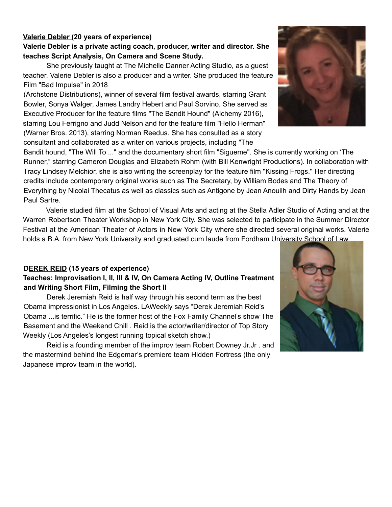#### **Valerie Debler (20 years of experience)**

#### **Valerie Debler is a private acting coach, producer, writer and director. She teaches Script Analysis, On Camera and Scene Study.**

She previously taught at The Michelle Danner Acting Studio, as a guest teacher. Valerie Debler is also a producer and a writer. She produced the feature Film "Bad Impulse" in 2018

(Archstone Distributions), winner of several film festival awards, starring Grant Bowler, Sonya Walger, James Landry Hebert and Paul Sorvino. She served as Executive Producer for the feature films "The Bandit Hound" (Alchemy 2016), starring Lou Ferrigno and Judd Nelson and for the feature film "Hello Herman" (Warner Bros. 2013), starring Norman Reedus. She has consulted as a story consultant and collaborated as a writer on various projects, including "The

Bandit hound, "The Will To ..." and the documentary short film "Sigueme". She is currently working on 'The Runner," starring Cameron Douglas and Elizabeth Rohm (with Bill Kenwright Productions). In collaboration with Tracy Lindsey Melchior, she is also writing the screenplay for the feature film "Kissing Frogs." Her directing credits include contemporary original works such as The Secretary, by William Bodes and The Theory of Everything by Nicolai Thecatus as well as classics such as Antigone by Jean Anouilh and Dirty Hands by Jean Paul Sartre.

Valerie studied film at the School of Visual Arts and acting at the Stella Adler Studio of Acting and at the Warren Robertson Theater Workshop in New York City. She was selected to participate in the Summer Director Festival at the American Theater of Actors in New York City where she directed several original works. Valerie holds a B.A. from New York University and graduated cum laude from Fordham University School of Law.

#### **DEREK REID (15 years of experience)**

#### **Teaches: Improvisation I, II, III & IV, On Camera Acting IV, Outline Treatment and Writing Short Film, Filming the Short II**

Derek Jeremiah Reid is half way through his second term as the best Obama impressionist in Los Angeles. LAWeekly says "Derek Jeremiah Reid's Obama ...is terrific." He is the former host of the Fox Family Channel's show The Basement and the Weekend Chill . Reid is the actor/writer/director of Top Story Weekly (Los Angeles's longest running topical sketch show.)

Reid is a founding member of the improv team Robert Downey Jr.Jr . and the mastermind behind the Edgemar's premiere team Hidden Fortress (the only Japanese improv team in the world).



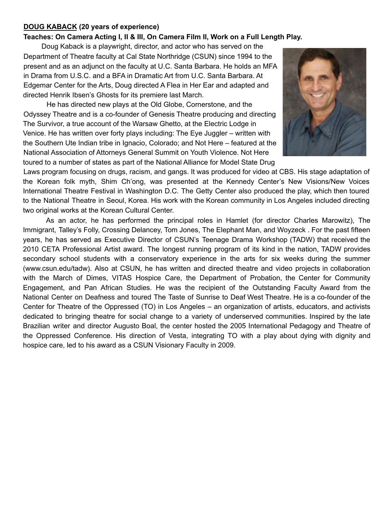#### **DOUG KABACK (20 years of experience)**

#### **Teaches: On Camera Acting I, II & III, On Camera Film II, Work on a Full Length Play.**

Doug Kaback is a playwright, director, and actor who has served on the Department of Theatre faculty at Cal State Northridge (CSUN) since 1994 to the present and as an adjunct on the faculty at U.C. Santa Barbara. He holds an MFA in Drama from U.S.C. and a BFA in Dramatic Art from U.C. Santa Barbara. At Edgemar Center for the Arts, Doug directed A Flea in Her Ear and adapted and directed Henrik Ibsen's Ghosts for its premiere last March.

He has directed new plays at the Old Globe, Cornerstone, and the Odyssey Theatre and is a co-founder of Genesis Theatre producing and directing The Survivor, a true account of the Warsaw Ghetto, at the Electric Lodge in Venice. He has written over forty plays including: The Eye Juggler – written with the Southern Ute Indian tribe in Ignacio, Colorado; and Not Here – featured at the National Association of Attorneys General Summit on Youth Violence. Not Here toured to a number of states as part of the National Alliance for Model State Drug



Laws program focusing on drugs, racism, and gangs. It was produced for video at CBS. His stage adaptation of the Korean folk myth, Shim Ch'ong, was presented at the Kennedy Center's New Visions/New Voices International Theatre Festival in Washington D.C. The Getty Center also produced the play, which then toured to the National Theatre in Seoul, Korea. His work with the Korean community in Los Angeles included directing two original works at the Korean Cultural Center.

As an actor, he has performed the principal roles in Hamlet (for director Charles Marowitz), The Immigrant, Talley's Folly, Crossing Delancey, Tom Jones, The Elephant Man, and Woyzeck . For the past fifteen years, he has served as Executive Director of CSUN's Teenage Drama Workshop (TADW) that received the 2010 CETA Professional Artist award. The longest running program of its kind in the nation, TADW provides secondary school students with a conservatory experience in the arts for six weeks during the summer (www.csun.edu/tadw). Also at CSUN, he has written and directed theatre and video projects in collaboration with the March of Dimes, VITAS Hospice Care, the Department of Probation, the Center for Community Engagement, and Pan African Studies. He was the recipient of the Outstanding Faculty Award from the National Center on Deafness and toured The Taste of Sunrise to Deaf West Theatre. He is a co-founder of the Center for Theatre of the Oppressed (TO) in Los Angeles – an organization of artists, educators, and activists dedicated to bringing theatre for social change to a variety of underserved communities. Inspired by the late Brazilian writer and director Augusto Boal, the center hosted the 2005 International Pedagogy and Theatre of the Oppressed Conference. His direction of Vesta, integrating TO with a play about dying with dignity and hospice care, led to his award as a CSUN Visionary Faculty in 2009.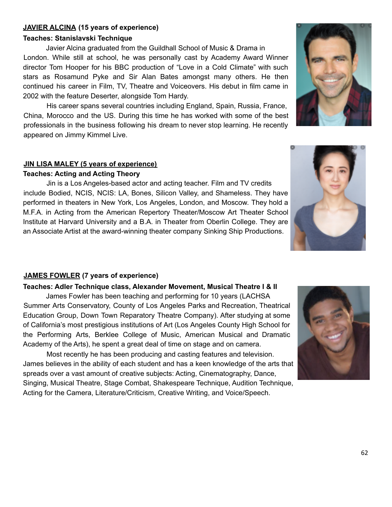#### **JAVIER ALCINA (15 years of experience)**

#### **Teaches: Stanislavski Technique**

Javier Alcina graduated from the Guildhall School of Music & Drama in London. While still at school, he was personally cast by Academy Award Winner director Tom Hooper for his BBC production of "Love in a Cold Climate" with such stars as Rosamund Pyke and Sir Alan Bates amongst many others. He then continued his career in Film, TV, Theatre and Voiceovers. His debut in film came in 2002 with the feature Deserter, alongside Tom Hardy.

His career spans several countries including England, Spain, Russia, France, China, Morocco and the US. During this time he has worked with some of the best professionals in the business following his dream to never stop learning. He recently appeared on Jimmy Kimmel Live.

#### **JIN LISA MALEY (5 years of experience)**

#### **Teaches: Acting and Acting Theory**

Jin is a Los Angeles-based actor and acting teacher. Film and TV credits include Bodied, NCIS, NCIS: LA, Bones, Silicon Valley, and Shameless. They have performed in theaters in New York, Los Angeles, London, and Moscow. They hold a M.F.A. in Acting from the American Repertory Theater/Moscow Art Theater School Institute at Harvard University and a B.A. in Theater from Oberlin College. They are an Associate Artist at the award-winning theater company Sinking Ship Productions.

#### **JAMES FOWLER (7 years of experience)**

#### **Teaches: Adler Technique class, Alexander Movement, Musical Theatre I & II**

James Fowler has been teaching and performing for 10 years (LACHSA Summer Arts Conservatory, County of Los Angeles Parks and Recreation, Theatrical Education Group, Down Town Reparatory Theatre Company). After studying at some of California's most prestigious institutions of Art (Los Angeles County High School for the Performing Arts, Berklee College of Music, American Musical and Dramatic Academy of the Arts), he spent a great deal of time on stage and on camera.

Most recently he has been producing and casting features and television. James believes in the ability of each student and has a keen knowledge of the arts that spreads over a vast amount of creative subjects: Acting, Cinematography, Dance, Singing, Musical Theatre, Stage Combat, Shakespeare Technique, Audition Technique, Acting for the Camera, Literature/Criticism, Creative Writing, and Voice/Speech.





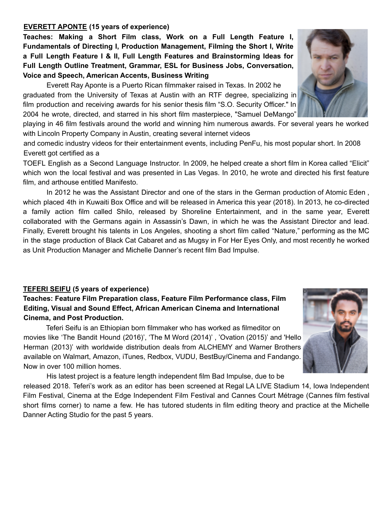#### **EVERETT APONTE (15 years of experience)**

**Teaches: Making a Short Film class, Work on a Full Length Feature I, Fundamentals of Directing I, Production Management, Filming the Short I, Write a Full Length Feature I & II, Full Length Features and Brainstorming Ideas for Full Length Outline Treatment, Grammar, ESL for Business Jobs, Conversation, Voice and Speech, American Accents, Business Writing**

Everett Ray Aponte is a Puerto Rican filmmaker raised in Texas. In 2002 he graduated from the University of Texas at Austin with an RTF degree, specializing in film production and receiving awards for his senior thesis film "S.O. Security Officer." In 2004 he wrote, directed, and starred in his short film masterpiece, "Samuel DeMango"

playing in 46 film festivals around the world and winning him numerous awards. For several years he worked with Lincoln Property Company in Austin, creating several internet videos

and comedic industry videos for their entertainment events, including PenFu, his most popular short. In 2008 Everett got certified as a

TOEFL English as a Second Language Instructor. In 2009, he helped create a short film in Korea called "Elicit" which won the local festival and was presented in Las Vegas. In 2010, he wrote and directed his first feature film, and arthouse entitled Manifesto.

In 2012 he was the Assistant Director and one of the stars in the German production of Atomic Eden , which placed 4th in Kuwaiti Box Office and will be released in America this year (2018). In 2013, he co-directed a family action film called Shilo, released by Shoreline Entertainment, and in the same year, Everett collaborated with the Germans again in Assassin's Dawn, in which he was the Assistant Director and lead. Finally, Everett brought his talents in Los Angeles, shooting a short film called "Nature," performing as the MC in the stage production of Black Cat Cabaret and as Mugsy in For Her Eyes Only, and most recently he worked as Unit Production Manager and Michelle Danner's recent film Bad Impulse.

#### **TEFERI SEIFU (5 years of experience)**

#### **Teaches: Feature Film Preparation class, Feature Film Performance class, Film Editing, Visual and Sound Effect, African American Cinema and International Cinema, and Post Production.**

Teferi Seifu is an Ethiopian born filmmaker who has worked as filmeditor on movies like 'The Bandit Hound (2016)', 'The M Word (2014)' , 'Ovation (2015)' and 'Hello Herman (2013)' with worldwide distribution deals from ALCHEMY and Warner Brothers available on Walmart, Amazon, iTunes, Redbox, VUDU, BestBuy/Cinema and Fandango. Now in over 100 million homes.

His latest project is a feature length independent film Bad Impulse, due to be released 2018. Teferi's work as an editor has been screened at Regal LA LIVE Stadium 14, Iowa Independent Film Festival, Cinema at the Edge Independent Film Festival and Cannes Court Métrage (Cannes film festival short films corner) to name a few. He has tutored students in film editing theory and practice at the Michelle Danner Acting Studio for the past 5 years.



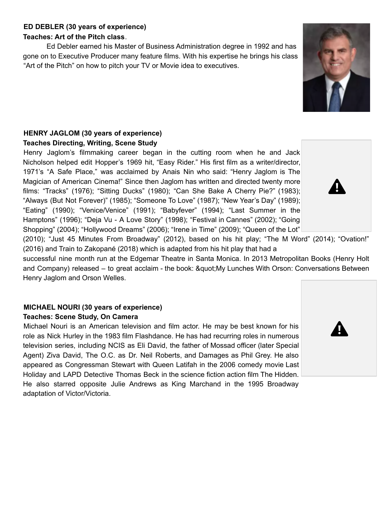#### **ED DEBLER (30 years of experience)**

#### **Teaches: Art of the Pitch class**.

Ed Debler earned his Master of Business Administration degree in 1992 and has gone on to Executive Producer many feature films. With his expertise he brings his class "Art of the Pitch" on how to pitch your TV or Movie idea to executives.

#### **HENRY JAGLOM (30 years of experience) Teaches Directing, Writing, Scene Study**

Henry Jaglom's filmmaking career began in the cutting room when he and Jack Nicholson helped edit Hopper's 1969 hit, "Easy Rider." His first film as a writer/director, 1971's "A Safe Place," was acclaimed by Anais Nin who said: "Henry Jaglom is The Magician of American Cinema!" Since then Jaglom has written and directed twenty more films: "Tracks" (1976); "Sitting Ducks" (1980); "Can She Bake A Cherry Pie?" (1983); "Always (But Not Forever)" (1985); "Someone To Love" (1987); "New Year's Day" (1989); "Eating" (1990); "Venice/Venice" (1991); "Babyfever" (1994); "Last Summer in the Hamptons" (1996); "Deja Vu - A Love Story" (1998); "Festival in Cannes" (2002); "Going Shopping" (2004); "Hollywood Dreams" (2006); "Irene in Time" (2009); "Queen of the Lot"

(2010); "Just 45 Minutes From Broadway" (2012), based on his hit play; "The M Word" (2014); "Ovation!" (2016) and Train to Zakopané (2018) which is adapted from his hit play that had a

successful nine month run at the Edgemar Theatre in Santa Monica. In 2013 Metropolitan Books (Henry Holt and Company) released – to great acclaim - the book: " My Lunches With Orson: Conversations Between Henry Jaglom and Orson Welles.

#### **MICHAEL NOURI (30 years of experience) Teaches: Scene Study, On Camera**

Michael Nouri is an American television and film actor. He may be best known for his role as Nick Hurley in the 1983 film Flashdance. He has had recurring roles in numerous television series, including NCIS as Eli David, the father of Mossad officer (later Special Agent) Ziva David, The O.C. as Dr. Neil Roberts, and Damages as Phil Grey. He also appeared as Congressman Stewart with Queen Latifah in the 2006 comedy movie Last Holiday and LAPD Detective Thomas Beck in the science fiction action film The Hidden. He also starred opposite Julie Andrews as King Marchand in the 1995 Broadway adaptation of Victor/Victoria.